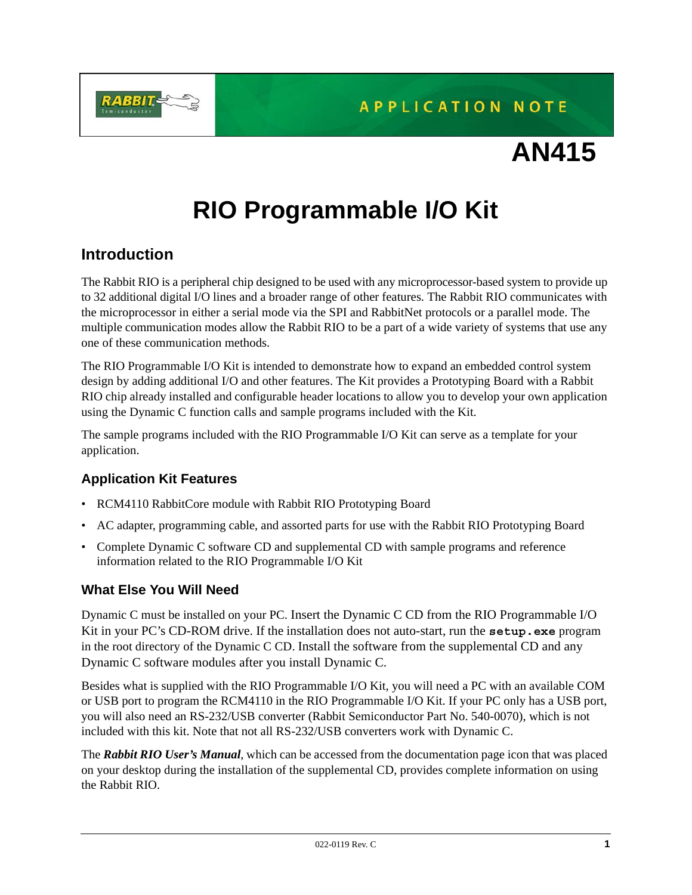

**APPLICATION NOTE** 

# **AN415**

# **RIO Programmable I/O Kit**

# **Introduction**

The Rabbit RIO is a peripheral chip designed to be used with any microprocessor-based system to provide up to 32 additional digital I/O lines and a broader range of other features. The Rabbit RIO communicates with the microprocessor in either a serial mode via the SPI and RabbitNet protocols or a parallel mode. The multiple communication modes allow the Rabbit RIO to be a part of a wide variety of systems that use any one of these communication methods.

The RIO Programmable I/O Kit is intended to demonstrate how to expand an embedded control system design by adding additional I/O and other features. The Kit provides a Prototyping Board with a Rabbit RIO chip already installed and configurable header locations to allow you to develop your own application using the Dynamic C function calls and sample programs included with the Kit.

The sample programs included with the RIO Programmable I/O Kit can serve as a template for your application.

# **Application Kit Features**

- RCM4110 RabbitCore module with Rabbit RIO Prototyping Board
- AC adapter, programming cable, and assorted parts for use with the Rabbit RIO Prototyping Board
- Complete Dynamic C software CD and supplemental CD with sample programs and reference information related to the RIO Programmable I/O Kit

# **What Else You Will Need**

Dynamic C must be installed on your PC. Insert the Dynamic C CD from the RIO Programmable I/O Kit in your PC's CD-ROM drive. If the installation does not auto-start, run the **setup.exe** program in the root directory of the Dynamic C CD. Install the software from the supplemental CD and any Dynamic C software modules after you install Dynamic C.

Besides what is supplied with the RIO Programmable I/O Kit, you will need a PC with an available COM or USB port to program the RCM4110 in the RIO Programmable I/O Kit. If your PC only has a USB port, you will also need an RS-232/USB converter (Rabbit Semiconductor Part No. 540-0070), which is not included with this kit. Note that not all RS-232/USB converters work with Dynamic C.

The *Rabbit RIO User's Manual*, which can be accessed from the documentation page icon that was placed on your desktop during the installation of the supplemental CD, provides complete information on using the Rabbit RIO.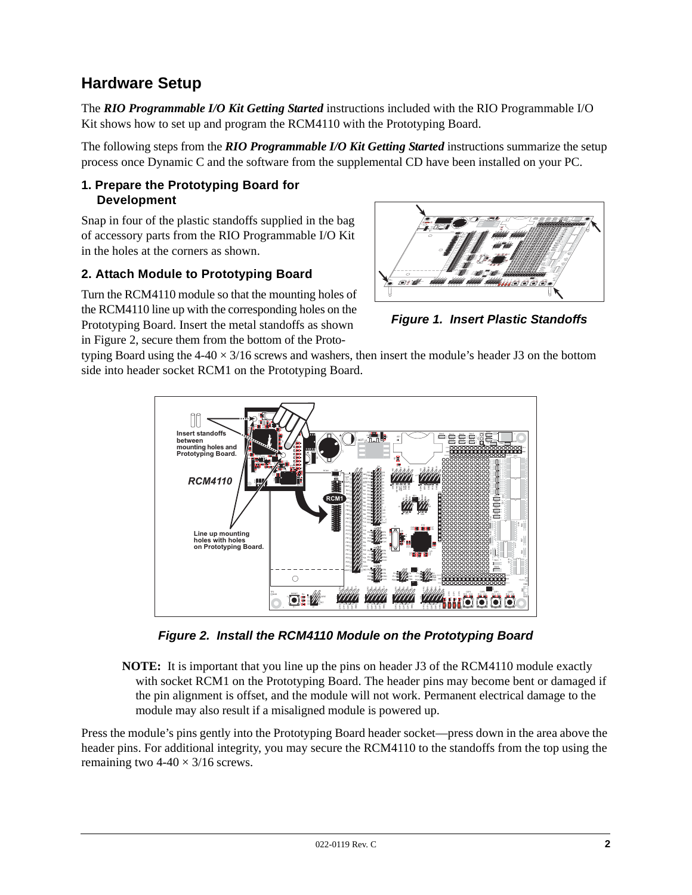# <span id="page-1-1"></span>**Hardware Setup**

The *RIO Programmable I/O Kit Getting Started* instructions included with the RIO Programmable I/O Kit shows how to set up and program the RCM4110 with the Prototyping Board.

The following steps from the *RIO Programmable I/O Kit Getting Started* instructions summarize the setup process once Dynamic C and the software from the supplemental CD have been installed on your PC.

### **1. Prepare the Prototyping Board for Development**

Snap in four of the plastic standoffs supplied in the bag of accessory parts from the RIO Programmable I/O Kit in the holes at the corners as shown.

## **2. Attach Module to Prototyping Board**

Turn the RCM4110 module so that the mounting holes of the RCM4110 line up with the corresponding holes on the Prototyping Board. Insert the metal standoffs as shown in [Figure 2](#page-1-0), secure them from the bottom of the Proto-



*Figure 1. Insert Plastic Standoffs*

typing Board using the  $4-40 \times 3/16$  screws and washers, then insert the module's header J3 on the bottom side into header socket RCM1 on the Prototyping Board.



*Figure 2. Install the RCM4110 Module on the Prototyping Board*

<span id="page-1-0"></span>**NOTE:** It is important that you line up the pins on header J3 of the RCM4110 module exactly with socket RCM1 on the Prototyping Board. The header pins may become bent or damaged if the pin alignment is offset, and the module will not work. Permanent electrical damage to the module may also result if a misaligned module is powered up.

Press the module's pins gently into the Prototyping Board header socket—press down in the area above the header pins. For additional integrity, you may secure the RCM4110 to the standoffs from the top using the remaining two  $4-40 \times 3/16$  screws.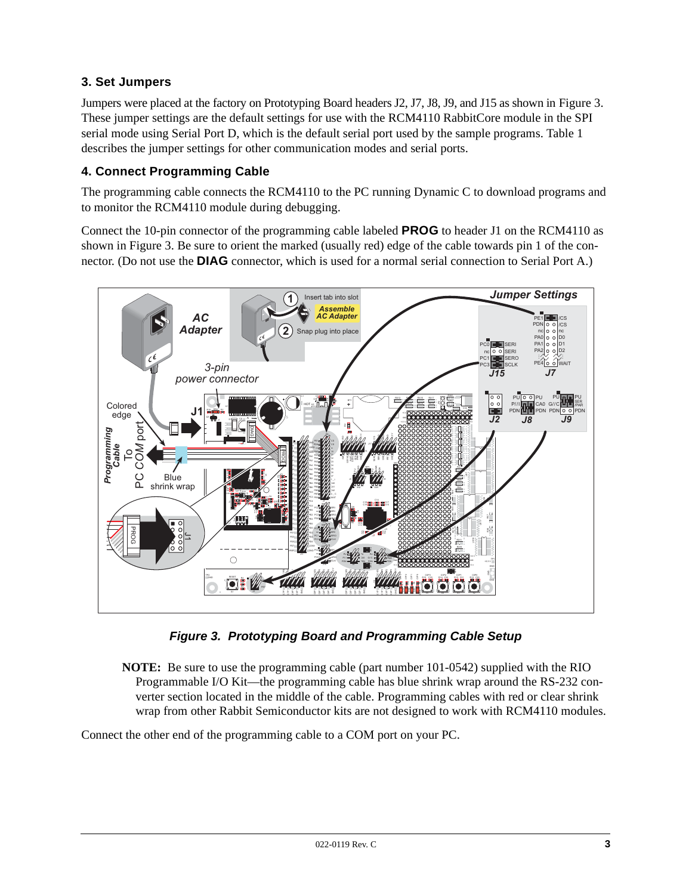# **3. Set Jumpers**

Jumpers were placed at the factory on Prototyping Board headers J2, J7, J8, J9, and J15 as shown in [Figure 3.](#page-2-0) These jumper settings are the default settings for use with the RCM4110 RabbitCore module in the SPI serial mode using Serial Port D, which is the default serial port used by the sample programs. [Table 1](#page-9-0) describes the jumper settings for other communication modes and serial ports.

## **4. Connect Programming Cable**

The programming cable connects the RCM4110 to the PC running Dynamic C to download programs and to monitor the RCM4110 module during debugging.

Connect the 10-pin connector of the programming cable labeled **PROG** to header J1 on the RCM4110 as shown in [Figure 3](#page-2-0). Be sure to orient the marked (usually red) edge of the cable towards pin 1 of the connector. (Do not use the **DIAG** connector, which is used for a normal serial connection to Serial Port A.)



*Figure 3. Prototyping Board and Programming Cable Setup*

<span id="page-2-0"></span>**NOTE:** Be sure to use the programming cable (part number 101-0542) supplied with the RIO Programmable I/O Kit—the programming cable has blue shrink wrap around the RS-232 converter section located in the middle of the cable. Programming cables with red or clear shrink wrap from other Rabbit Semiconductor kits are not designed to work with RCM4110 modules.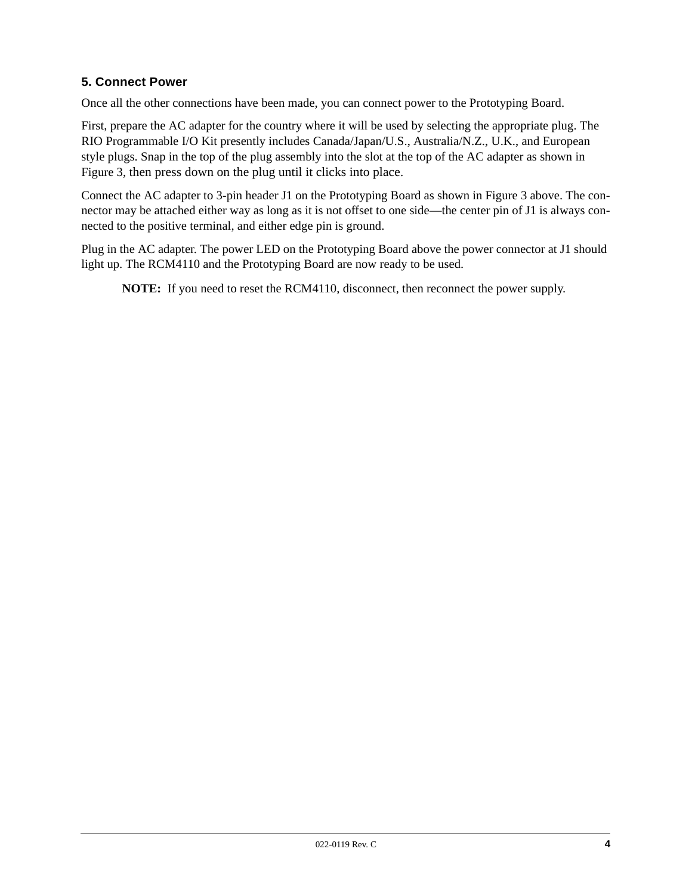# **5. Connect Power**

Once all the other connections have been made, you can connect power to the Prototyping Board.

First, prepare the AC adapter for the country where it will be used by selecting the appropriate plug. The RIO Programmable I/O Kit presently includes Canada/Japan/U.S., Australia/N.Z., U.K., and European style plugs. Snap in the top of the plug assembly into the slot at the top of the AC adapter as shown in [Figure 3,](#page-2-0) then press down on the plug until it clicks into place.

Connect the AC adapter to 3-pin header J1 on the Prototyping Board as shown in [Figure 3](#page-2-0) above. The connector may be attached either way as long as it is not offset to one side—the center pin of J1 is always connected to the positive terminal, and either edge pin is ground.

Plug in the AC adapter. The power LED on the Prototyping Board above the power connector at J1 should light up. The RCM4110 and the Prototyping Board are now ready to be used.

**NOTE:** If you need to reset the RCM4110, disconnect, then reconnect the power supply.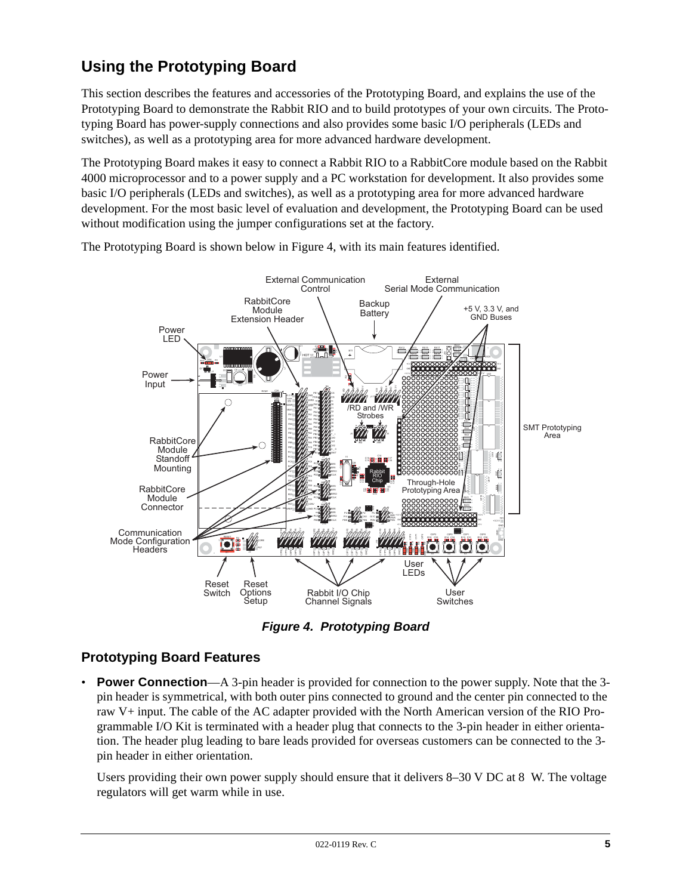# **Using the Prototyping Board**

This section describes the features and accessories of the Prototyping Board, and explains the use of the Prototyping Board to demonstrate the Rabbit RIO and to build prototypes of your own circuits. The Prototyping Board has power-supply connections and also provides some basic I/O peripherals (LEDs and switches), as well as a prototyping area for more advanced hardware development.

The Prototyping Board makes it easy to connect a Rabbit RIO to a RabbitCore module based on the Rabbit 4000 microprocessor and to a power supply and a PC workstation for development. It also provides some basic I/O peripherals (LEDs and switches), as well as a prototyping area for more advanced hardware development. For the most basic level of evaluation and development, the Prototyping Board can be used without modification using the jumper configurations set at the factory.



The Prototyping Board is shown below in [Figure 4,](#page-4-0) with its main features identified.

*Figure 4. Prototyping Board*

# <span id="page-4-0"></span>**Prototyping Board Features**

• **Power Connection**—A 3-pin header is provided for connection to the power supply. Note that the 3pin header is symmetrical, with both outer pins connected to ground and the center pin connected to the raw V+ input. The cable of the AC adapter provided with the North American version of the RIO Programmable I/O Kit is terminated with a header plug that connects to the 3-pin header in either orientation. The header plug leading to bare leads provided for overseas customers can be connected to the 3 pin header in either orientation.

Users providing their own power supply should ensure that it delivers 8–30 V DC at 8 W. The voltage regulators will get warm while in use.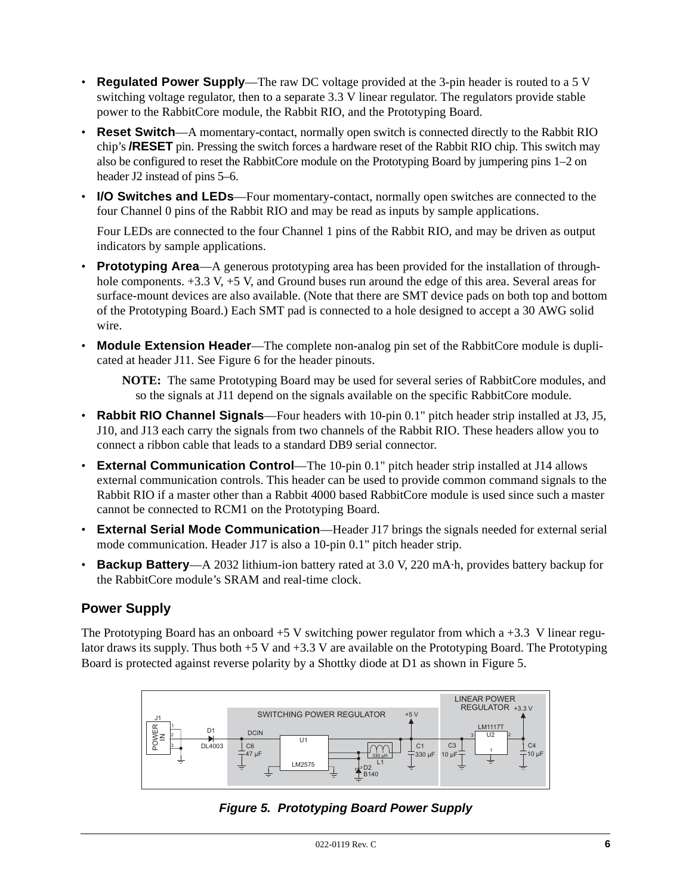- **Regulated Power Supply**—The raw DC voltage provided at the 3-pin header is routed to a 5 V switching voltage regulator, then to a separate 3.3 V linear regulator. The regulators provide stable power to the RabbitCore module, the Rabbit RIO, and the Prototyping Board.
- **Reset Switch**—A momentary-contact, normally open switch is connected directly to the Rabbit RIO chip's **/RESET** pin. Pressing the switch forces a hardware reset of the Rabbit RIO chip. This switch may also be configured to reset the RabbitCore module on the Prototyping Board by jumpering pins 1–2 on header J2 instead of pins 5–6.
- **I/O Switches and LEDs**—Four momentary-contact, normally open switches are connected to the four Channel 0 pins of the Rabbit RIO and may be read as inputs by sample applications.

Four LEDs are connected to the four Channel 1 pins of the Rabbit RIO, and may be driven as output indicators by sample applications.

- **Prototyping Area**—A generous prototyping area has been provided for the installation of throughhole components.  $+3.3$  V,  $+5$  V, and Ground buses run around the edge of this area. Several areas for surface-mount devices are also available. (Note that there are SMT device pads on both top and bottom of the Prototyping Board.) Each SMT pad is connected to a hole designed to accept a 30 AWG solid wire.
- **Module Extension Header—The complete non-analog pin set of the RabbitCore module is dupli**cated at header J11. See [Figure 6](#page-6-0) for the header pinouts.

**NOTE:** The same Prototyping Board may be used for several series of RabbitCore modules, and so the signals at J11 depend on the signals available on the specific RabbitCore module.

- **Rabbit RIO Channel Signals**—Four headers with 10-pin 0.1" pitch header strip installed at J3, J5, J10, and J13 each carry the signals from two channels of the Rabbit RIO. These headers allow you to connect a ribbon cable that leads to a standard DB9 serial connector.
- **External Communication Control**—The 10-pin 0.1" pitch header strip installed at J14 allows external communication controls. This header can be used to provide common command signals to the Rabbit RIO if a master other than a Rabbit 4000 based RabbitCore module is used since such a master cannot be connected to RCM1 on the Prototyping Board.
- **External Serial Mode Communication**—Header J17 brings the signals needed for external serial mode communication. Header J17 is also a 10-pin 0.1" pitch header strip.
- **Backup Battery**—A 2032 lithium-ion battery rated at 3.0 V, 220 mA·h, provides battery backup for the RabbitCore module's SRAM and real-time clock.

## **Power Supply**

The Prototyping Board has an onboard  $+5$  V switching power regulator from which a  $+3.3$  V linear regulator draws its supply. Thus both  $+5$  V and  $+3.3$  V are available on the Prototyping Board. The Prototyping Board is protected against reverse polarity by a Shottky diode at D1 as shown in [Figure 5](#page-5-0).

<span id="page-5-0"></span>

*Figure 5. Prototyping Board Power Supply*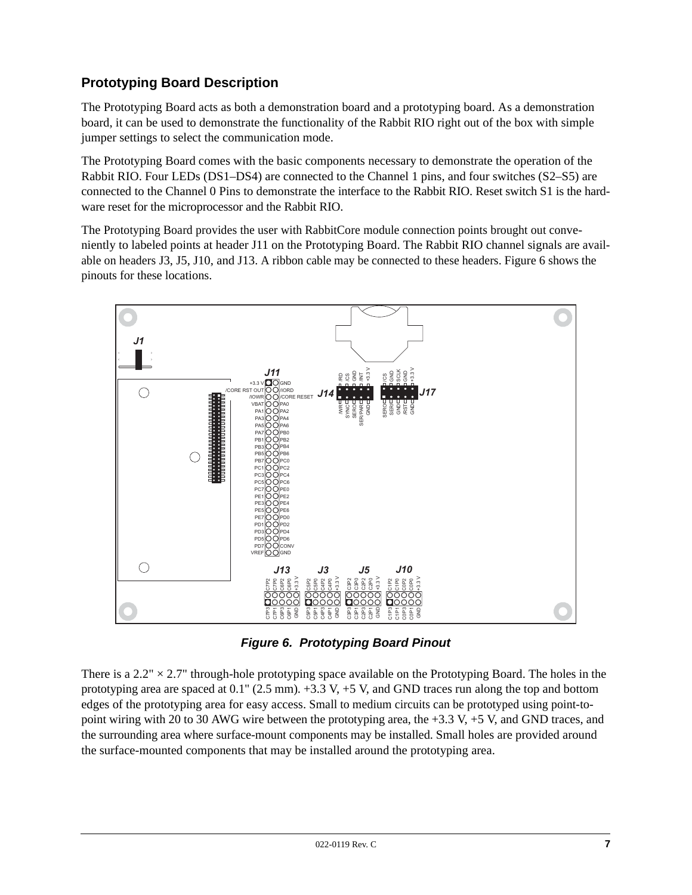# **Prototyping Board Description**

The Prototyping Board acts as both a demonstration board and a prototyping board. As a demonstration board, it can be used to demonstrate the functionality of the Rabbit RIO right out of the box with simple jumper settings to select the communication mode.

The Prototyping Board comes with the basic components necessary to demonstrate the operation of the Rabbit RIO. Four LEDs (DS1–DS4) are connected to the Channel 1 pins, and four switches (S2–S5) are connected to the Channel 0 Pins to demonstrate the interface to the Rabbit RIO. Reset switch S1 is the hardware reset for the microprocessor and the Rabbit RIO.

The Prototyping Board provides the user with RabbitCore module connection points brought out conveniently to labeled points at header J11 on the Prototyping Board. The Rabbit RIO channel signals are available on headers J3, J5, J10, and J13. A ribbon cable may be connected to these headers. [Figure 6](#page-6-0) shows the pinouts for these locations.



*Figure 6. Prototyping Board Pinout*

<span id="page-6-0"></span>There is a  $2.2'' \times 2.7''$  through-hole prototyping space available on the Prototyping Board. The holes in the prototyping area are spaced at  $0.1$ " (2.5 mm).  $+3.3$  V,  $+5$  V, and GND traces run along the top and bottom edges of the prototyping area for easy access. Small to medium circuits can be prototyped using point-topoint wiring with 20 to 30 AWG wire between the prototyping area, the  $+3.3$  V,  $+5$  V, and GND traces, and the surrounding area where surface-mount components may be installed. Small holes are provided around the surface-mounted components that may be installed around the prototyping area.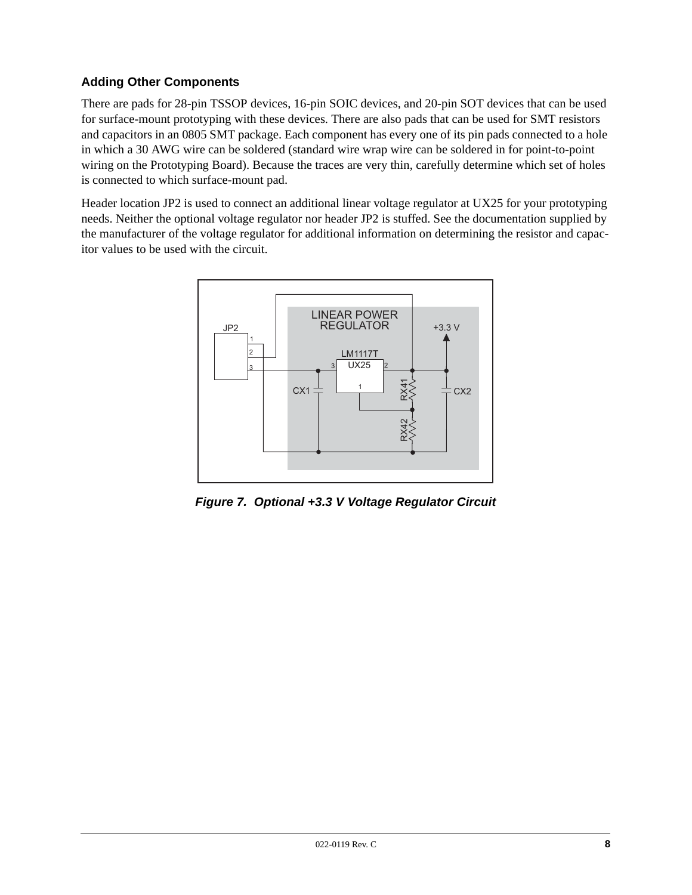# **Adding Other Components**

There are pads for 28-pin TSSOP devices, 16-pin SOIC devices, and 20-pin SOT devices that can be used for surface-mount prototyping with these devices. There are also pads that can be used for SMT resistors and capacitors in an 0805 SMT package. Each component has every one of its pin pads connected to a hole in which a 30 AWG wire can be soldered (standard wire wrap wire can be soldered in for point-to-point wiring on the Prototyping Board). Because the traces are very thin, carefully determine which set of holes is connected to which surface-mount pad.

<span id="page-7-0"></span>Header location JP2 is used to connect an additional linear voltage regulator at UX25 for your prototyping needs. Neither the optional voltage regulator nor header JP2 is stuffed. See the documentation supplied by the manufacturer of the voltage regulator for additional information on determining the resistor and capacitor values to be used with the circuit.



*Figure 7. Optional +3.3 V Voltage Regulator Circuit*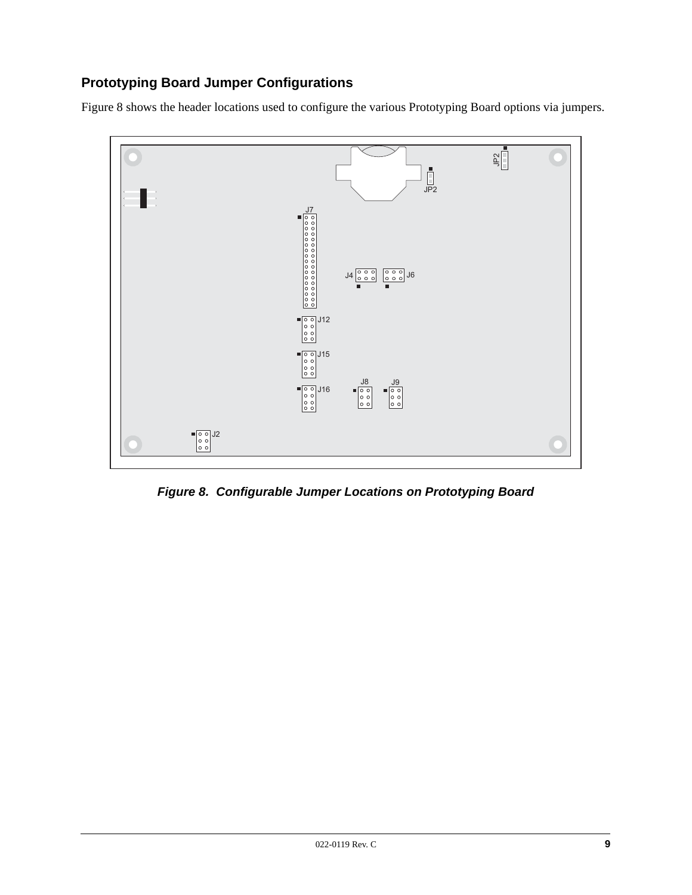# **Prototyping Board Jumper Configurations**

[Figure 8](#page-8-0) shows the header locations used to configure the various Prototyping Board options via jumpers.



<span id="page-8-0"></span>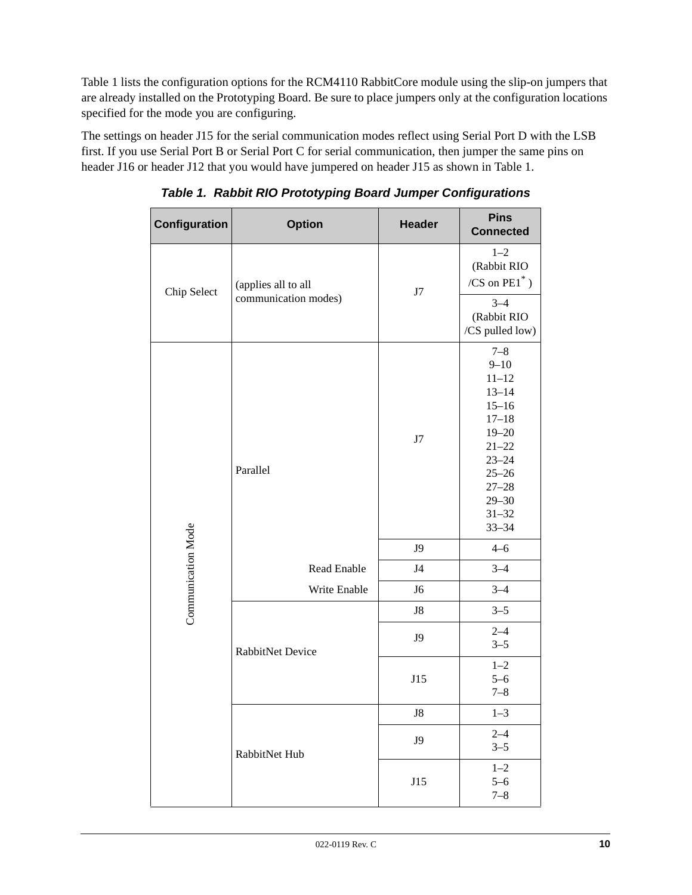[Table 1](#page-9-0) lists the configuration options for the RCM4110 RabbitCore module using the slip-on jumpers that are already installed on the Prototyping Board. Be sure to place jumpers only at the configuration locations specified for the mode you are configuring.

<span id="page-9-0"></span>The settings on header J15 for the serial communication modes reflect using Serial Port D with the LSB first. If you use Serial Port B or Serial Port C for serial communication, then jumper the same pins on header J16 or header J12 that you would have jumpered on header J15 as shown in [Table 1](#page-9-0).

| Configuration      | <b>Option</b>        | <b>Header</b>  | <b>Pins</b><br><b>Connected</b>                                                                                                                                                 |
|--------------------|----------------------|----------------|---------------------------------------------------------------------------------------------------------------------------------------------------------------------------------|
| Chip Select        | (applies all to all  | J7             | $1 - 2$<br>(Rabbit RIO<br>/CS on $\mathrm{PE1}^*$ )                                                                                                                             |
|                    | communication modes) |                | $3 - 4$<br>(Rabbit RIO<br>/CS pulled low)                                                                                                                                       |
|                    | Parallel             | $\rm J7$       | $7 - 8$<br>$9 - 10$<br>$11 - 12$<br>$13 - 14$<br>$15 - 16$<br>$17 - 18$<br>$19 - 20$<br>$21 - 22$<br>$23 - 24$<br>$25 - 26$<br>$27 - 28$<br>$29 - 30$<br>$31 - 32$<br>$33 - 34$ |
| Communication Mode |                      | J9             | $4 - 6$                                                                                                                                                                         |
|                    | Read Enable          | J <sub>4</sub> | $3 - 4$                                                                                                                                                                         |
|                    | Write Enable         | ${\rm J6}$     | $3 - 4$                                                                                                                                                                         |
|                    |                      | ${\rm J}8$     | $3 - 5$                                                                                                                                                                         |
|                    | RabbitNet Device     | J9             | $2 - 4$<br>$3 - 5$                                                                                                                                                              |
|                    |                      | J15            | $1 - 2$<br>$5 - 6$<br>$7 - 8$                                                                                                                                                   |
|                    |                      | J8             | $1 - 3$                                                                                                                                                                         |
|                    | RabbitNet Hub        | J9             | $2 - 4$<br>$3 - 5$                                                                                                                                                              |
|                    |                      | J15            | $1 - 2$<br>$5 - 6$<br>$7 - 8$                                                                                                                                                   |

*Table 1. Rabbit RIO Prototyping Board Jumper Configurations*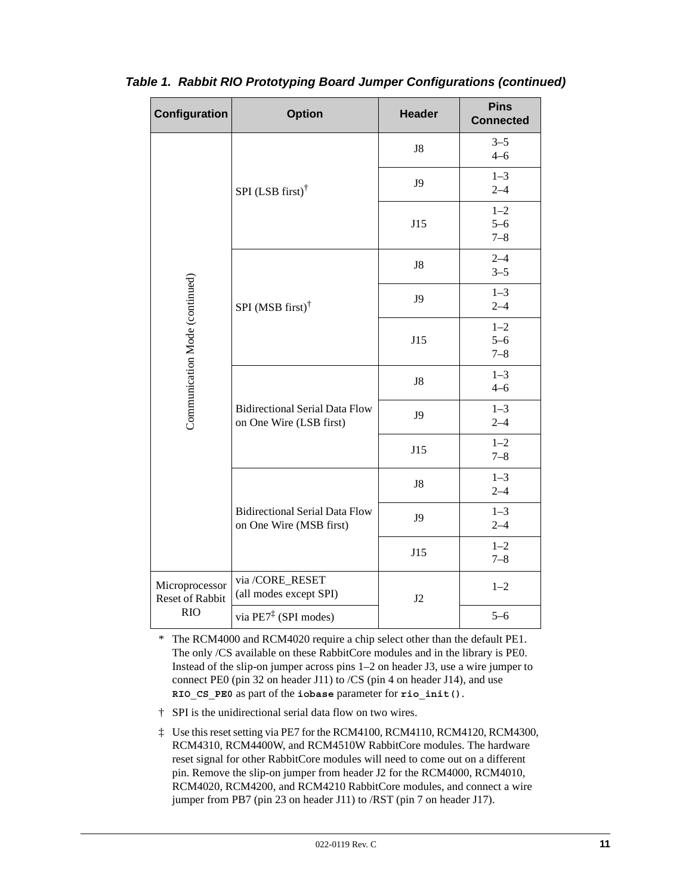<span id="page-10-0"></span>

| Configuration                            | <b>Option</b>                                                    | <b>Header</b> | <b>Pins</b><br><b>Connected</b> |
|------------------------------------------|------------------------------------------------------------------|---------------|---------------------------------|
|                                          |                                                                  | J8            | $3 - 5$<br>$4 - 6$              |
|                                          | SPI (LSB first) $\dagger$                                        | J9            | $1 - 3$<br>$2 - 4$              |
|                                          |                                                                  | J15           | $1 - 2$<br>$5 - 6$<br>$7 - 8$   |
|                                          |                                                                  | ${\rm J}8$    | $2 - 4$<br>$3 - 5$              |
|                                          | SPI (MSB first) $\dagger$                                        | J9            | $1 - 3$<br>$2 - 4$              |
| Communication Mode (continued)           |                                                                  | J15           | $1 - 2$<br>$5 - 6$<br>$7 - 8$   |
|                                          |                                                                  | ${\rm J}8$    | $1 - 3$<br>$4 - 6$              |
|                                          | <b>Bidirectional Serial Data Flow</b><br>on One Wire (LSB first) | J9            | $1 - 3$<br>$2 - 4$              |
|                                          |                                                                  | J15           | $1 - 2$<br>$7 - 8$              |
|                                          |                                                                  | J8            | $1 - 3$<br>$2 - 4$              |
|                                          | <b>Bidirectional Serial Data Flow</b><br>on One Wire (MSB first) | J9            | $1 - 3$<br>$2 - 4$              |
|                                          |                                                                  | J15           | $1 - 2$<br>$7 - 8$              |
| Microprocessor<br><b>Reset of Rabbit</b> | via /CORE_RESET<br>(all modes except SPI)                        | J2            | $1 - 2$                         |
| <b>RIO</b>                               | via PE7 <sup>‡</sup> (SPI modes)                                 |               | $5 - 6$                         |

# *Table 1. Rabbit RIO Prototyping Board Jumper Configurations (continued)*

\* The RCM4000 and RCM4020 require a chip select other than the default PE1. The only /CS available on these RabbitCore modules and in the library is PE0. Instead of the slip-on jumper across pins 1–2 on header J3, use a wire jumper to connect PE0 (pin 32 on header J11) to /CS (pin 4 on header J14), and use **RIO\_CS\_PE0** as part of the **iobase** parameter for **rio\_init()**.

- † SPI is the unidirectional serial data flow on two wires.
- ‡ Use this reset setting via PE7 for the RCM4100, RCM4110, RCM4120, RCM4300, RCM4310, RCM4400W, and RCM4510W RabbitCore modules. The hardware reset signal for other RabbitCore modules will need to come out on a different pin. Remove the slip-on jumper from header J2 for the RCM4000, RCM4010, RCM4020, RCM4200, and RCM4210 RabbitCore modules, and connect a wire jumper from PB7 (pin 23 on header J11) to /RST (pin 7 on header J17).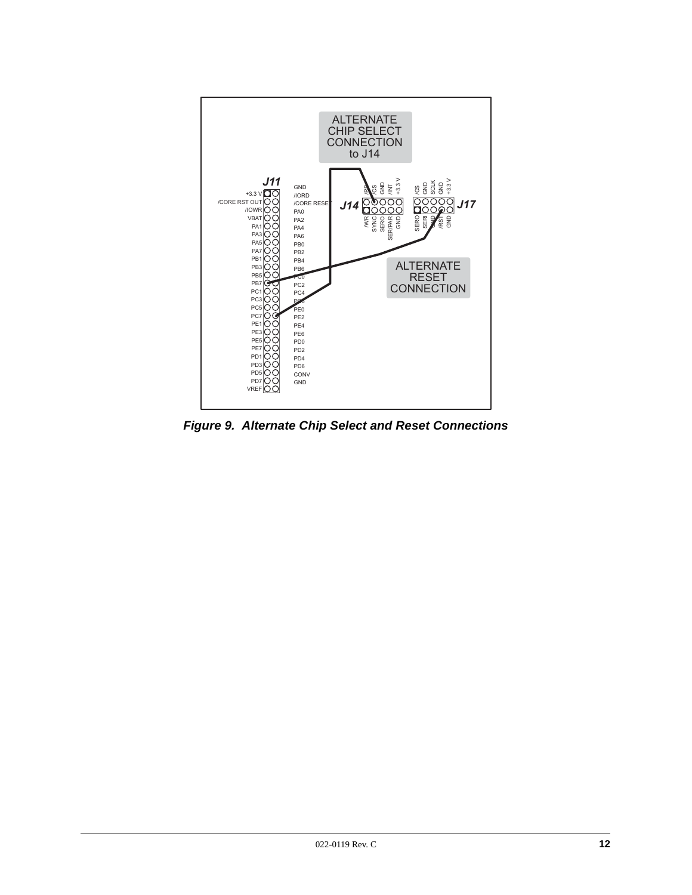

*Figure 9. Alternate Chip Select and Reset Connections*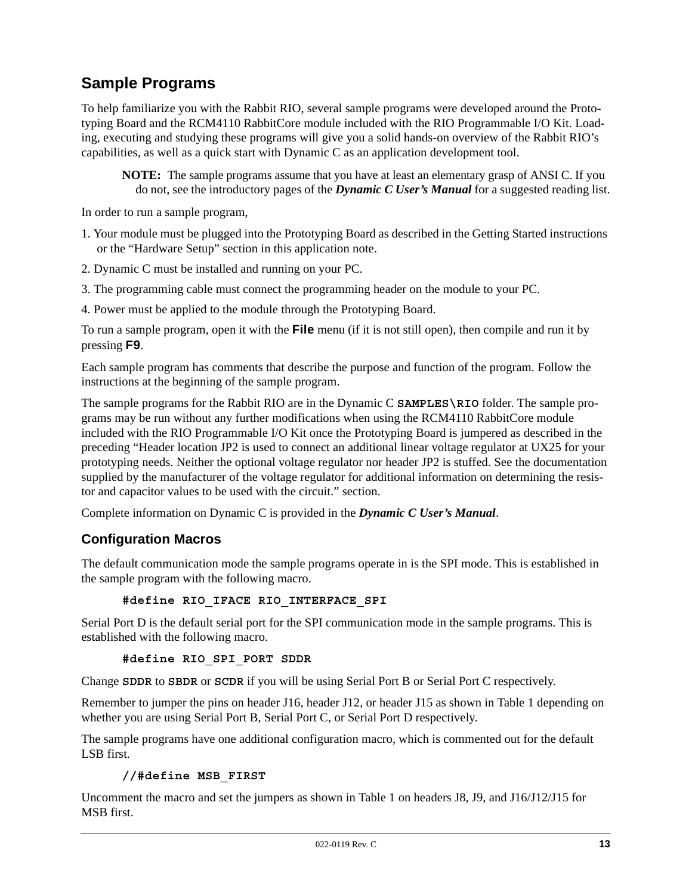# **Sample Programs**

To help familiarize you with the Rabbit RIO, several sample programs were developed around the Prototyping Board and the RCM4110 RabbitCore module included with the RIO Programmable I/O Kit. Loading, executing and studying these programs will give you a solid hands-on overview of the Rabbit RIO's capabilities, as well as a quick start with Dynamic C as an application development tool.

**NOTE:** The sample programs assume that you have at least an elementary grasp of ANSI C. If you do not, see the introductory pages of the *Dynamic C User's Manual* for a suggested reading list.

In order to run a sample program,

- 1. Your module must be plugged into the Prototyping Board as described in the Getting Started instructions or the ["Hardware Setup" section](#page-1-1) in this application note.
- 2. Dynamic C must be installed and running on your PC.
- 3. The programming cable must connect the programming header on the module to your PC.
- 4. Power must be applied to the module through the Prototyping Board.

To run a sample program, open it with the **File** menu (if it is not still open), then compile and run it by pressing **F9**.

Each sample program has comments that describe the purpose and function of the program. Follow the instructions at the beginning of the sample program.

The sample programs for the Rabbit RIO are in the Dynamic C **SAMPLES\RIO** folder. The sample programs may be run without any further modifications when using the RCM4110 RabbitCore module included with the RIO Programmable I/O Kit once the Prototyping Board is jumpered as described in the preceding ["Header location JP2 is used to connect an additional linear voltage regulator at UX25 for your](#page-7-0)  [prototyping needs. Neither the optional voltage regulator nor header JP2 is stuffed. See the documentation](#page-7-0)  supplied by the manufacturer of the voltage regulator for additional information on determining the resis[tor and capacitor values to be used with the circuit." section](#page-7-0).

Complete information on Dynamic C is provided in the *Dynamic C User's Manual*.

## **Configuration Macros**

The default communication mode the sample programs operate in is the SPI mode. This is established in the sample program with the following macro.

#### **#define RIO\_IFACE RIO\_INTERFACE\_SPI**

Serial Port D is the default serial port for the SPI communication mode in the sample programs. This is established with the following macro.

**#define RIO\_SPI\_PORT SDDR**

Change **SDDR** to **SBDR** or **SCDR** if you will be using Serial Port B or Serial Port C respectively.

Remember to jumper the pins on header J16, header J12, or header J15 as shown in [Table 1](#page-9-0) depending on whether you are using Serial Port B, Serial Port C, or Serial Port D respectively.

The sample programs have one additional configuration macro, which is commented out for the default LSB first.

#### **//#define MSB\_FIRST**

Uncomment the macro and set the jumpers as shown in [Table 1](#page-9-0) on headers J8, J9, and J16/J12/J15 for MSB first.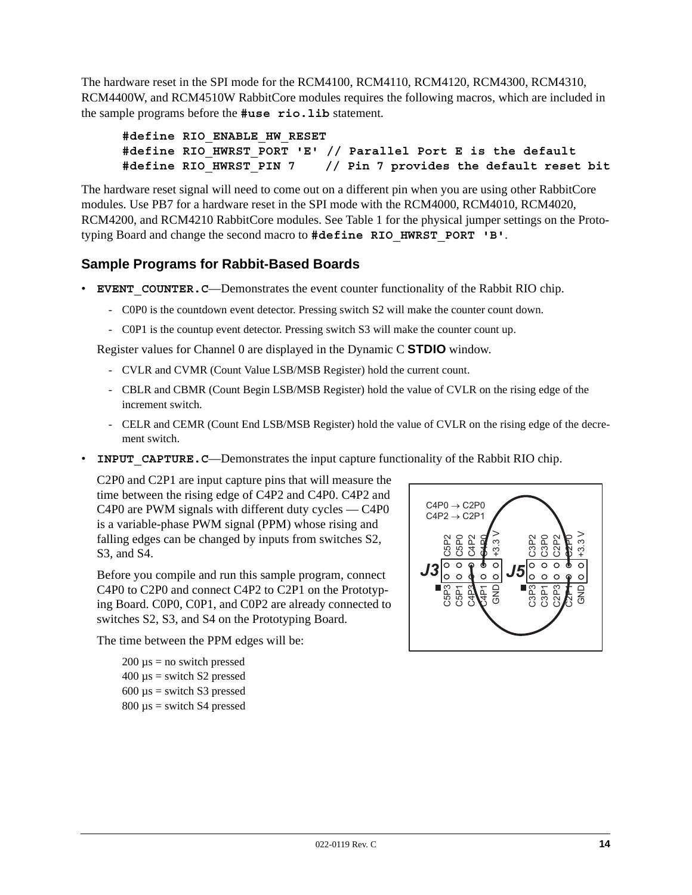The hardware reset in the SPI mode for the RCM4100, RCM4110, RCM4120, RCM4300, RCM4310, RCM4400W, and RCM4510W RabbitCore modules requires the following macros, which are included in the sample programs before the **#use rio.lib** statement.

```
#define RIO_ENABLE_HW_RESET
#define RIO_HWRST_PORT 'E' // Parallel Port E is the default
#define RIO_HWRST_PIN 7 // Pin 7 provides the default reset bit
```
The hardware reset signal will need to come out on a different pin when you are using other RabbitCore modules. Use PB7 for a hardware reset in the SPI mode with the RCM4000, RCM4010, RCM4020, RCM4200, and RCM4210 RabbitCore modules. See [Table 1](#page-9-0) for the physical jumper settings on the Prototyping Board and change the second macro to **#define RIO\_HWRST\_PORT 'B'**.

# **Sample Programs for Rabbit-Based Boards**

- **EVENT** COUNTER. C—Demonstrates the event counter functionality of the Rabbit RIO chip.
	- C0P0 is the countdown event detector. Pressing switch S2 will make the counter count down.
	- C0P1 is the countup event detector. Pressing switch S3 will make the counter count up.

Register values for Channel 0 are displayed in the Dynamic C **STDIO** window.

- CVLR and CVMR (Count Value LSB/MSB Register) hold the current count.
- CBLR and CBMR (Count Begin LSB/MSB Register) hold the value of CVLR on the rising edge of the increment switch.
- CELR and CEMR (Count End LSB/MSB Register) hold the value of CVLR on the rising edge of the decrement switch.
- **INPUT CAPTURE. C—Demonstrates the input capture functionality of the Rabbit RIO chip.**

C2P0 and C2P1 are input capture pins that will measure the time between the rising edge of C4P2 and C4P0. C4P2 and C4P0 are PWM signals with different duty cycles — C4P0 is a variable-phase PWM signal (PPM) whose rising and falling edges can be changed by inputs from switches S2, S3, and S4.

Before you compile and run this sample program, connect C4P0 to C2P0 and connect C4P2 to C2P1 on the Prototyping Board. C0P0, C0P1, and C0P2 are already connected to switches S2, S3, and S4 on the Prototyping Board.

The time between the PPM edges will be:

 $200 \mu s$  = no switch pressed  $400 \mu s =$  switch S2 pressed  $600 \mu s =$  switch S3 pressed  $800 \text{ }\mu\text{s} = \text{switch } S4 \text{ pressed}$ 

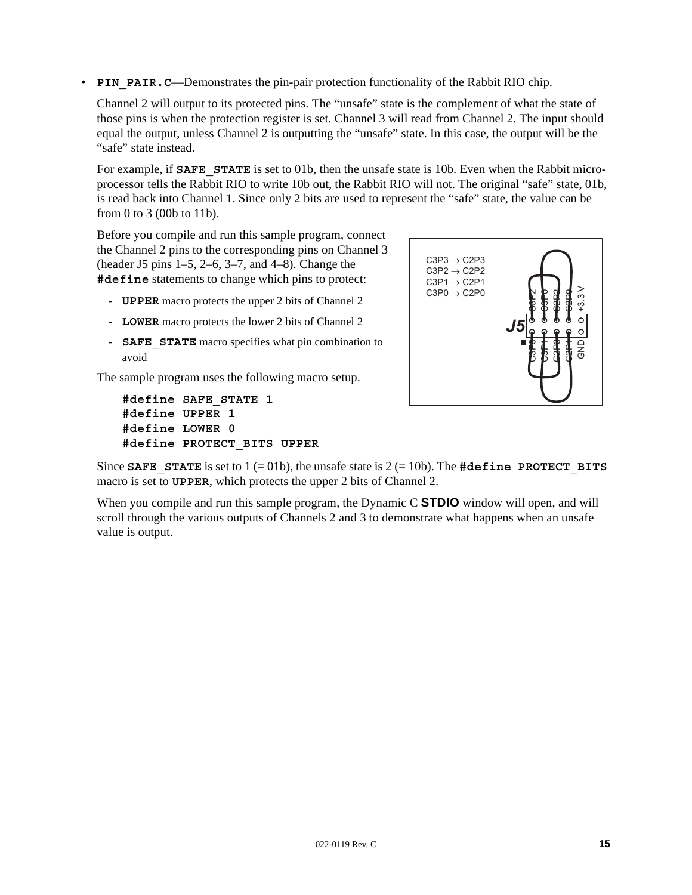• **PIN PAIR. C—Demonstrates the pin-pair protection functionality of the Rabbit RIO chip.** 

Channel 2 will output to its protected pins. The "unsafe" state is the complement of what the state of those pins is when the protection register is set. Channel 3 will read from Channel 2. The input should equal the output, unless Channel 2 is outputting the "unsafe" state. In this case, the output will be the "safe" state instead.

For example, if **SAFE STATE** is set to 01b, then the unsafe state is 10b. Even when the Rabbit microprocessor tells the Rabbit RIO to write 10b out, the Rabbit RIO will not. The original "safe" state, 01b, is read back into Channel 1. Since only 2 bits are used to represent the "safe" state, the value can be from 0 to 3 (00b to 11b).

Before you compile and run this sample program, connect the Channel 2 pins to the corresponding pins on Channel 3 (header J5 pins 1–5, 2–6, 3–7, and 4–8). Change the **#define** statements to change which pins to protect:

- **UPPER** macro protects the upper 2 bits of Channel 2
- **LOWER** macro protects the lower 2 bits of Channel 2
- **SAFE** STATE macro specifies what pin combination to avoid

The sample program uses the following macro setup.

```
#define SAFE_STATE 1
#define UPPER 1
#define LOWER 0
#define PROTECT_BITS UPPER
```


Since **SAFE** STATE is set to  $1 (= 01b)$ , the unsafe state is  $2 (= 10b)$ . The #define PROTECT BITS macro is set to **UPPER**, which protects the upper 2 bits of Channel 2.

When you compile and run this sample program, the Dynamic C **STDIO** window will open, and will scroll through the various outputs of Channels 2 and 3 to demonstrate what happens when an unsafe value is output.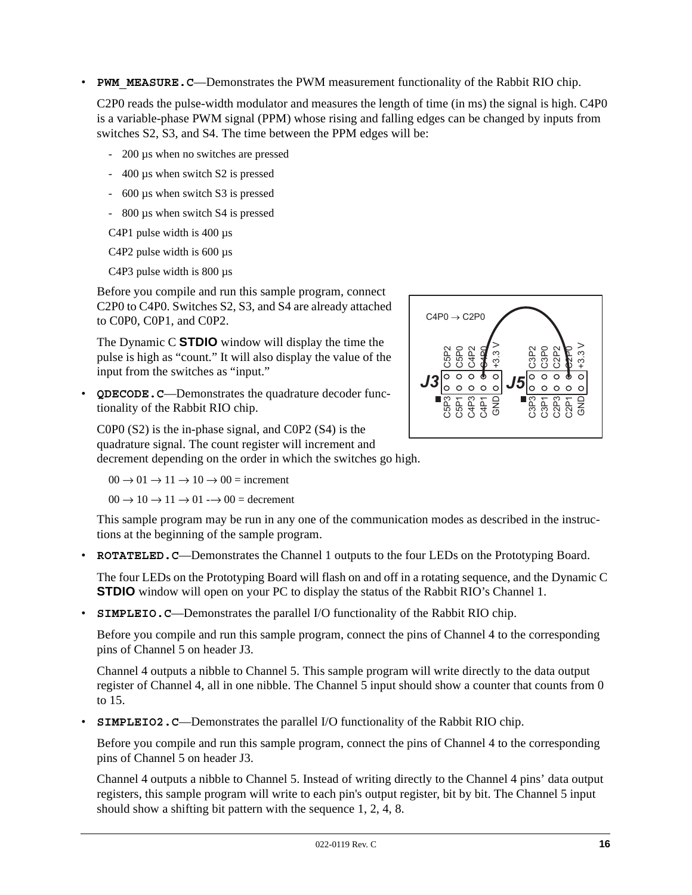• **PWM\_MEASURE.C—Demonstrates the PWM measurement functionality of the Rabbit RIO chip.** 

C2P0 reads the pulse-width modulator and measures the length of time (in ms) the signal is high. C4P0 is a variable-phase PWM signal (PPM) whose rising and falling edges can be changed by inputs from switches S2, S3, and S4. The time between the PPM edges will be:

- 200 µs when no switches are pressed
- 400 µs when switch S2 is pressed
- 600 µs when switch S3 is pressed
- 800 µs when switch S4 is pressed

C4P1 pulse width is 400 µs

C<sub>4</sub>P<sub>2</sub> pulse width is 600 µs

C4P3 pulse width is 800 µs

Before you compile and run this sample program, connect C2P0 to C4P0. Switches S2, S3, and S4 are already attached to C0P0, C0P1, and C0P2.

The Dynamic C **STDIO** window will display the time the pulse is high as "count." It will also display the value of the input from the switches as "input."

• **QDECODE.C**—Demonstrates the quadrature decoder functionality of the Rabbit RIO chip.



C0P0 (S2) is the in-phase signal, and C0P2 (S4) is the quadrature signal. The count register will increment and decrement depending on the order in which the switches go high.

 $00 \rightarrow 01 \rightarrow 11 \rightarrow 10 \rightarrow 00 =$  increment

 $00 \rightarrow 10 \rightarrow 11 \rightarrow 01 \rightarrow 00 =$  decrement

This sample program may be run in any one of the communication modes as described in the instructions at the beginning of the sample program.

• **ROTATELED. C—Demonstrates the Channel 1 outputs to the four LEDs on the Prototyping Board.** 

The four LEDs on the Prototyping Board will flash on and off in a rotating sequence, and the Dynamic C **STDIO** window will open on your PC to display the status of the Rabbit RIO's Channel 1.

• **SIMPLEIO.** C—Demonstrates the parallel I/O functionality of the Rabbit RIO chip.

Before you compile and run this sample program, connect the pins of Channel 4 to the corresponding pins of Channel 5 on header J3.

Channel 4 outputs a nibble to Channel 5. This sample program will write directly to the data output register of Channel 4, all in one nibble. The Channel 5 input should show a counter that counts from 0 to 15.

**SIMPLEIO2. C—Demonstrates the parallel I/O functionality of the Rabbit RIO chip.** 

Before you compile and run this sample program, connect the pins of Channel 4 to the corresponding pins of Channel 5 on header J3.

Channel 4 outputs a nibble to Channel 5. Instead of writing directly to the Channel 4 pins' data output registers, this sample program will write to each pin's output register, bit by bit. The Channel 5 input should show a shifting bit pattern with the sequence 1, 2, 4, 8.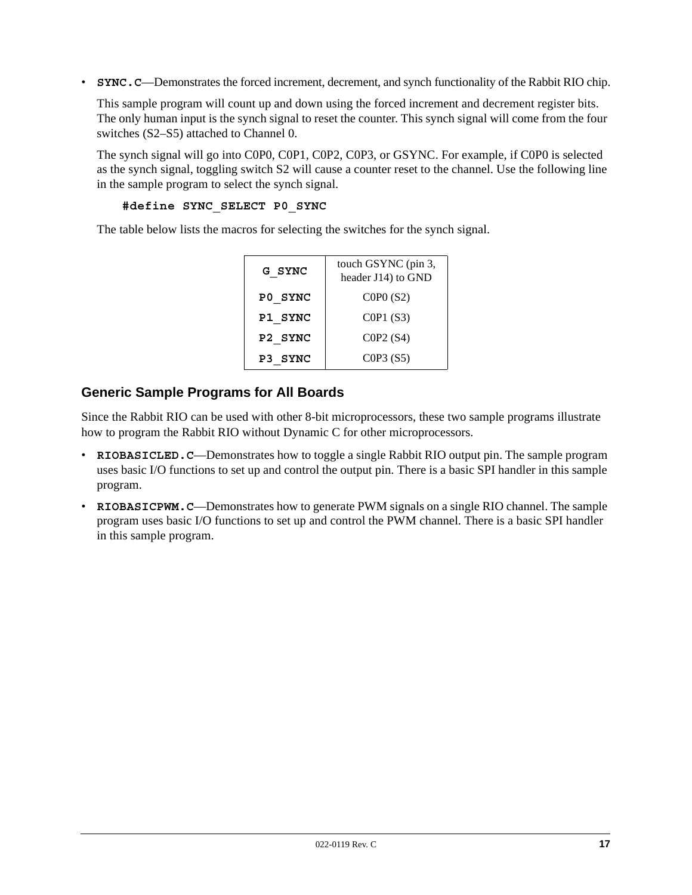• **SYNC. C—Demonstrates the forced increment, decrement, and synch functionality of the Rabbit RIO chip.** 

This sample program will count up and down using the forced increment and decrement register bits. The only human input is the synch signal to reset the counter. This synch signal will come from the four switches (S2–S5) attached to Channel 0.

The synch signal will go into C0P0, C0P1, C0P2, C0P3, or GSYNC. For example, if C0P0 is selected as the synch signal, toggling switch S2 will cause a counter reset to the channel. Use the following line in the sample program to select the synch signal.

```
#define SYNC_SELECT P0_SYNC
```
The table below lists the macros for selecting the switches for the synch signal.

| G SYNC  | touch GSYNC (pin 3,<br>header J14) to GND |
|---------|-------------------------------------------|
| PO SYNC | COPO(S2)                                  |
| P1 SYNC | COP1(S3)                                  |
| P2 SYNC | COP2(S4)                                  |
| P3 SYNC | COP3(S5)                                  |

## **Generic Sample Programs for All Boards**

Since the Rabbit RIO can be used with other 8-bit microprocessors, these two sample programs illustrate how to program the Rabbit RIO without Dynamic C for other microprocessors.

- **RIOBASICLED. C**—Demonstrates how to toggle a single Rabbit RIO output pin. The sample program uses basic I/O functions to set up and control the output pin. There is a basic SPI handler in this sample program.
- **RIOBASICPWM.C—Demonstrates how to generate PWM signals on a single RIO channel. The sample** program uses basic I/O functions to set up and control the PWM channel. There is a basic SPI handler in this sample program.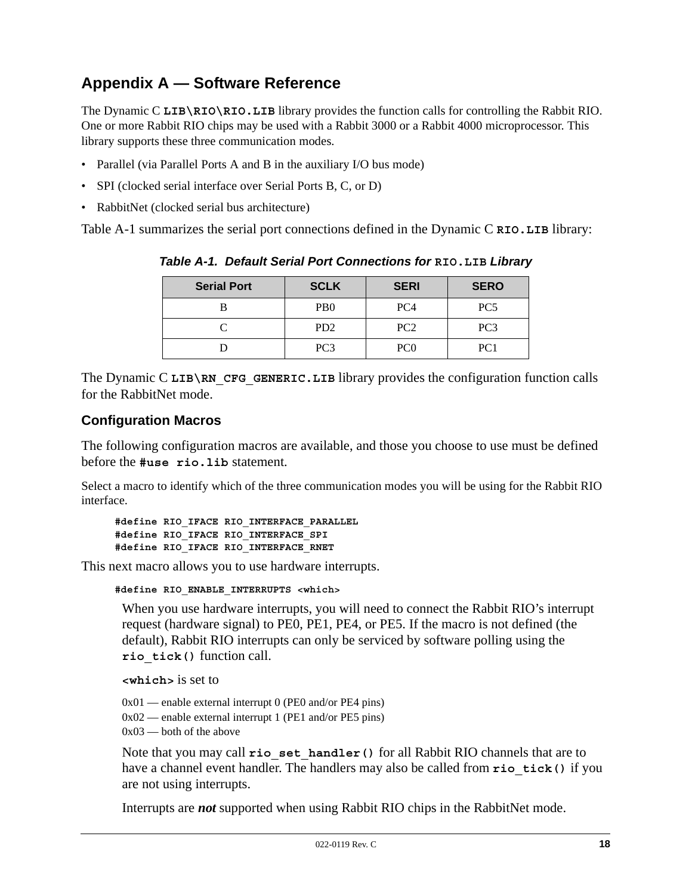# **Appendix A — Software Reference**

The Dynamic C **LIB\RIO\RIO.LIB** library provides the function calls for controlling the Rabbit RIO. One or more Rabbit RIO chips may be used with a Rabbit 3000 or a Rabbit 4000 microprocessor. This library supports these three communication modes.

- Parallel (via Parallel Ports A and B in the auxiliary I/O bus mode)
- SPI (clocked serial interface over Serial Ports B, C, or D)
- RabbitNet (clocked serial bus architecture)

<span id="page-17-0"></span>[Table A-1](#page-17-0) summarizes the serial port connections defined in the Dynamic C **RIO.LIB** library:

| <b>Serial Port</b> | <b>SCLK</b>                 | <b>SERI</b>     | <b>SERO</b>     |
|--------------------|-----------------------------|-----------------|-----------------|
|                    | P <sub>B</sub> <sup>0</sup> | PC <sub>4</sub> | PC <sub>5</sub> |
|                    | PD <sub>2</sub>             | PC <sub>2</sub> | PC <sub>3</sub> |
|                    | PC <sub>3</sub>             | PC0             | PC1             |

*Table A-1. Default Serial Port Connections for* **RIO.LIB** *Library*

The Dynamic C LIB\RN\_CFG\_GENERIC.LIB library provides the configuration function calls for the RabbitNet mode.

### **Configuration Macros**

The following configuration macros are available, and those you choose to use must be defined before the **#use rio.lib** statement.

Select a macro to identify which of the three communication modes you will be using for the Rabbit RIO interface.

```
#define RIO_IFACE RIO_INTERFACE_PARALLEL
#define RIO_IFACE RIO_INTERFACE_SPI
#define RIO_IFACE RIO_INTERFACE_RNET
```
This next macro allows you to use hardware interrupts.

**#define RIO\_ENABLE\_INTERRUPTS <which>**

When you use hardware interrupts, you will need to connect the Rabbit RIO's interrupt request (hardware signal) to PE0, PE1, PE4, or PE5. If the macro is not defined (the default), Rabbit RIO interrupts can only be serviced by software polling using the **rio\_tick()** function call.

**<which>** is set to

```
0x01 — enable external interrupt 0 (PE0 and/or PE4 pins)
0x02 — enable external interrupt 1 (PE1 and/or PE5 pins)
0x03 — both of the above
```
Note that you may call **rio\_set\_handler()** for all Rabbit RIO channels that are to have a channel event handler. The handlers may also be called from **rio** tick() if you are not using interrupts.

Interrupts are *not* supported when using Rabbit RIO chips in the RabbitNet mode.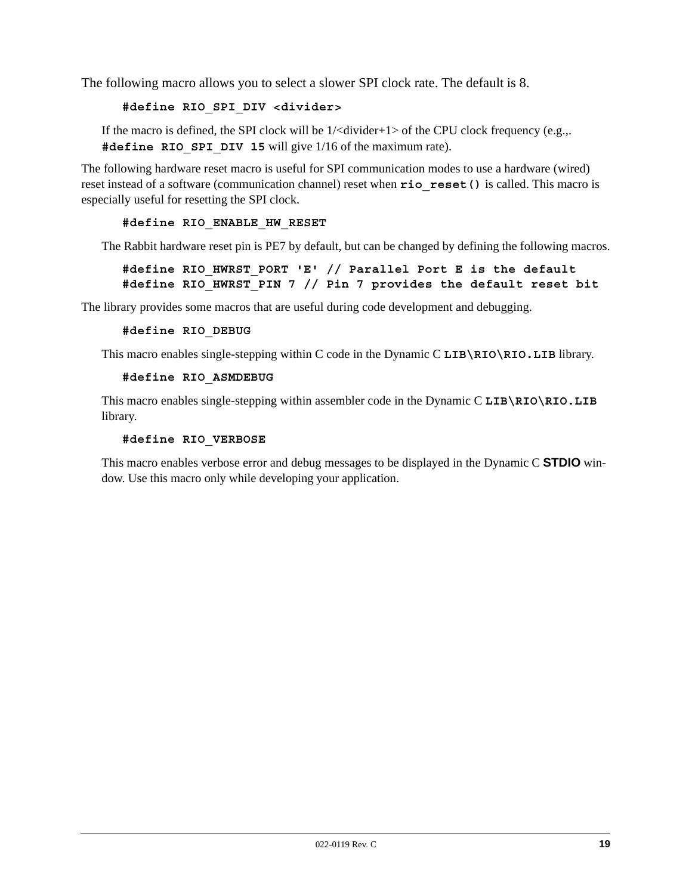The following macro allows you to select a slower SPI clock rate. The default is 8.

#### **#define RIO\_SPI\_DIV <divider>**

If the macro is defined, the SPI clock will be 1/<divider+1> of the CPU clock frequency (e.g.,. #define RIO SPI DIV 15 will give 1/16 of the maximum rate).

The following hardware reset macro is useful for SPI communication modes to use a hardware (wired) reset instead of a software (communication channel) reset when **rio\_reset()** is called. This macro is especially useful for resetting the SPI clock.

#### **#define RIO\_ENABLE\_HW\_RESET**

The Rabbit hardware reset pin is PE7 by default, but can be changed by defining the following macros.

### **#define RIO\_HWRST\_PORT 'E' // Parallel Port E is the default #define RIO\_HWRST\_PIN 7 // Pin 7 provides the default reset bit**

The library provides some macros that are useful during code development and debugging.

#### **#define RIO\_DEBUG**

This macro enables single-stepping within C code in the Dynamic C **LIB\RIO\RIO.LIB** library.

#### **#define RIO\_ASMDEBUG**

This macro enables single-stepping within assembler code in the Dynamic C **LIB\RIO\RIO.LIB** library.

#### **#define RIO\_VERBOSE**

This macro enables verbose error and debug messages to be displayed in the Dynamic C **STDIO** window. Use this macro only while developing your application.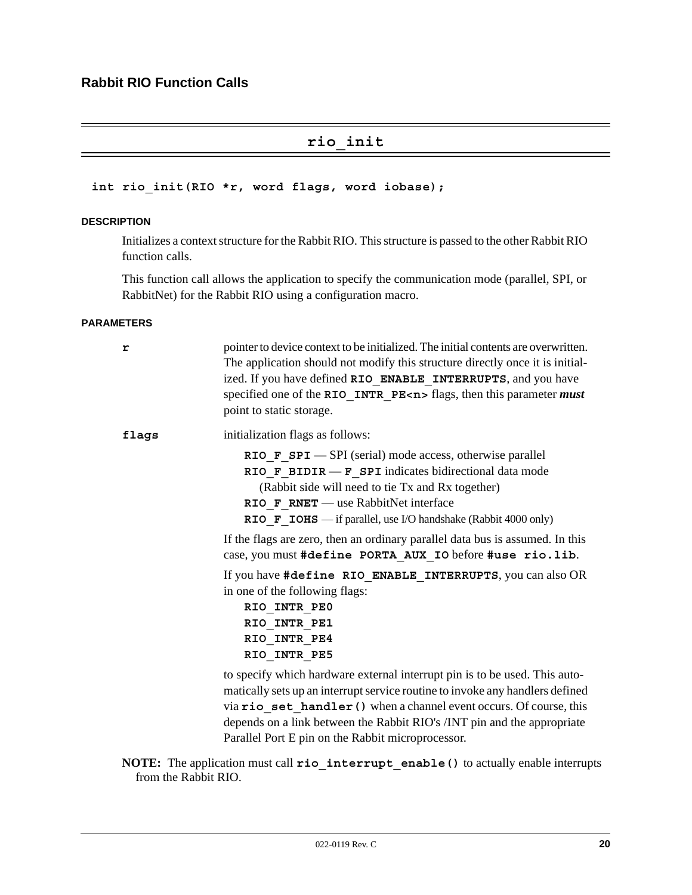# **rio\_init**

#### **int rio\_init(RIO \*r, word flags, word iobase);**

#### **DESCRIPTION**

Initializes a context structure for the Rabbit RIO. This structure is passed to the other Rabbit RIO function calls.

This function call allows the application to specify the communication mode (parallel, SPI, or RabbitNet) for the Rabbit RIO using a configuration macro.

#### **PARAMETERS**

| r     | pointer to device context to be initialized. The initial contents are overwritten.<br>The application should not modify this structure directly once it is initial-<br>ized. If you have defined RIO ENABLE INTERRUPTS, and you have<br>specified one of the RIO INTR PE< $n$ > flags, then this parameter <i>must</i><br>point to static storage.                 |
|-------|--------------------------------------------------------------------------------------------------------------------------------------------------------------------------------------------------------------------------------------------------------------------------------------------------------------------------------------------------------------------|
| flags | initialization flags as follows:                                                                                                                                                                                                                                                                                                                                   |
|       | RIO F $SPI$ $-SPI$ (serial) mode access, otherwise parallel<br>RIO F BIDIR $-F$ SPI indicates bidirectional data mode<br>(Rabbit side will need to tie Tx and Rx together)<br>RIO F RNET — use RabbitNet interface<br>RIO F IOHS - if parallel, use I/O handshake (Rabbit 4000 only)                                                                               |
|       | If the flags are zero, then an ordinary parallel data bus is assumed. In this<br>case, you must #define PORTA AUX IO before #use rio.lib.                                                                                                                                                                                                                          |
|       | If you have #define RIO ENABLE INTERRUPTS, you can also OR<br>in one of the following flags:<br>RIO INTR PEO<br>RIO INTR PE1<br>RIO INTR PE4<br>RIO INTR PE5                                                                                                                                                                                                       |
|       | to specify which hardware external interrupt pin is to be used. This auto-<br>matically sets up an interrupt service routine to invoke any handlers defined<br>via rio set handler () when a channel event occurs. Of course, this<br>depends on a link between the Rabbit RIO's /INT pin and the appropriate<br>Parallel Port E pin on the Rabbit microprocessor. |

**NOTE:** The application must call **rio\_interrupt\_enable()** to actually enable interrupts from the Rabbit RIO.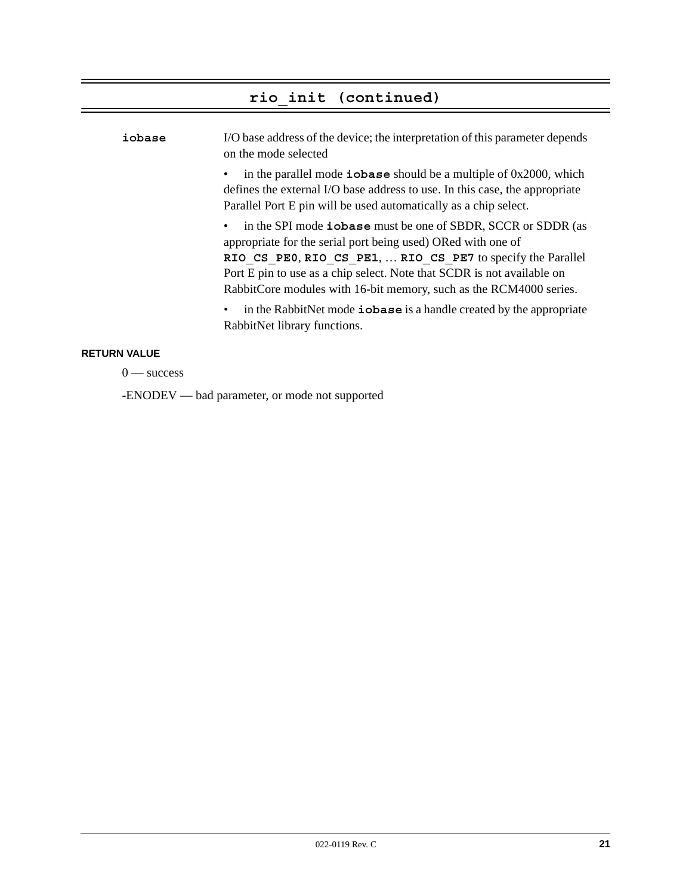# **rio\_init (continued)**

| iobase | I/O base address of the device; the interpretation of this parameter depends<br>on the mode selected                                                                                                                                                                                                                                                 |
|--------|------------------------------------------------------------------------------------------------------------------------------------------------------------------------------------------------------------------------------------------------------------------------------------------------------------------------------------------------------|
|        | in the parallel mode $\Delta$ iobase should be a multiple of 0x2000, which<br>defines the external I/O base address to use. In this case, the appropriate<br>Parallel Port E pin will be used automatically as a chip select.                                                                                                                        |
|        | • in the SPI mode <b>iobase</b> must be one of SBDR, SCCR or SDDR (as<br>appropriate for the serial port being used) ORed with one of<br>RIO CS PEO, RIO CS PE1,  RIO CS PE7 to specify the Parallel<br>Port E pin to use as a chip select. Note that SCDR is not available on<br>RabbitCore modules with 16-bit memory, such as the RCM4000 series. |
|        | in the RabbitNet mode <b>iobase</b> is a handle created by the appropriate<br>$\bullet$<br>RabbitNet library functions.                                                                                                                                                                                                                              |

# **RETURN VALUE**

 $0$  — success

-ENODEV — bad parameter, or mode not supported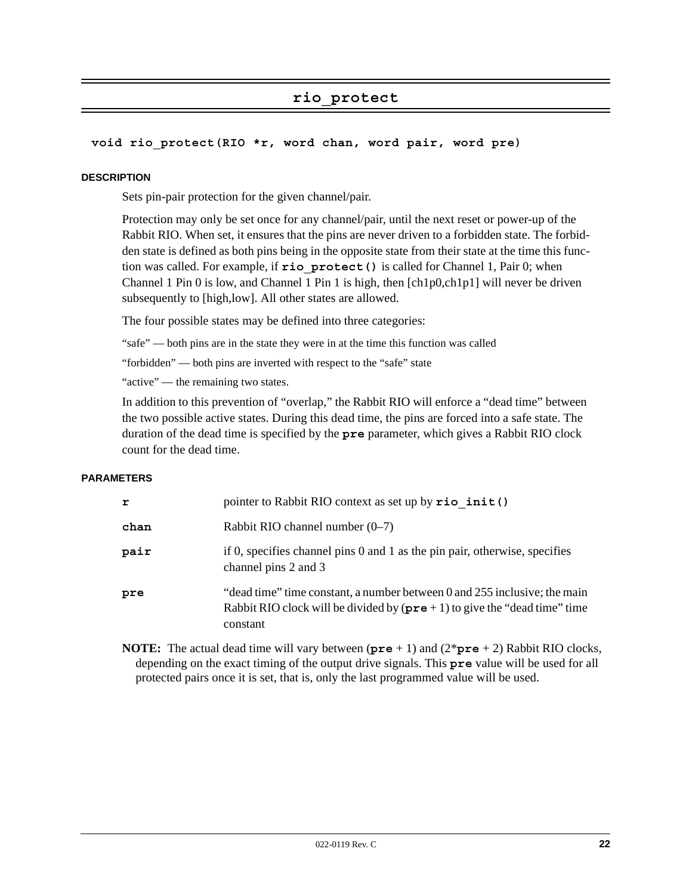# **rio\_protect**

#### **void rio\_protect(RIO \*r, word chan, word pair, word pre)**

#### **DESCRIPTION**

Sets pin-pair protection for the given channel/pair.

Protection may only be set once for any channel/pair, until the next reset or power-up of the Rabbit RIO. When set, it ensures that the pins are never driven to a forbidden state. The forbidden state is defined as both pins being in the opposite state from their state at the time this function was called. For example, if **rio\_protect()** is called for Channel 1, Pair 0; when Channel 1 Pin 0 is low, and Channel 1 Pin 1 is high, then [ch1p0,ch1p1] will never be driven subsequently to [high,low]. All other states are allowed.

The four possible states may be defined into three categories:

"safe" — both pins are in the state they were in at the time this function was called

"forbidden" — both pins are inverted with respect to the "safe" state

"active" — the remaining two states.

In addition to this prevention of "overlap," the Rabbit RIO will enforce a "dead time" between the two possible active states. During this dead time, the pins are forced into a safe state. The duration of the dead time is specified by the **pre** parameter, which gives a Rabbit RIO clock count for the dead time.

#### **PARAMETERS**

| r    | pointer to Rabbit RIO context as set up by $\texttt{rio init}()$                                                                                                             |
|------|------------------------------------------------------------------------------------------------------------------------------------------------------------------------------|
| chan | Rabbit RIO channel number $(0-7)$                                                                                                                                            |
| pair | if 0, specifies channel pins $0$ and $1$ as the pin pair, otherwise, specifies<br>channel pins 2 and 3                                                                       |
| pre  | "dead time" time constant, a number between 0 and 255 inclusive; the main<br>Rabbit RIO clock will be divided by $(\text{pre} + 1)$ to give the "dead time" time<br>constant |

**NOTE:** The actual dead time will vary between (**pre** + 1) and (2\***pre** + 2) Rabbit RIO clocks, depending on the exact timing of the output drive signals. This **pre** value will be used for all protected pairs once it is set, that is, only the last programmed value will be used.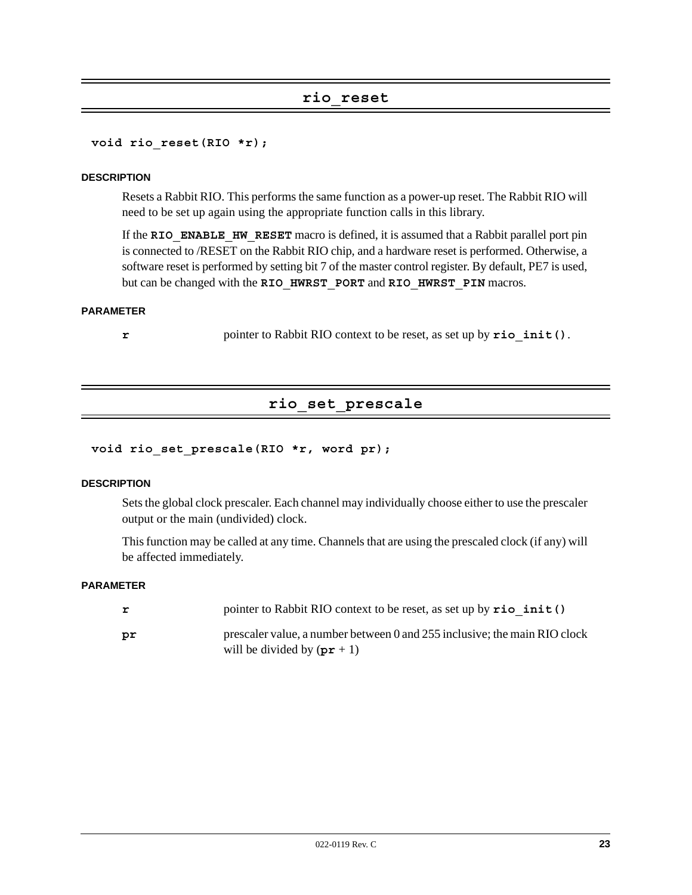#### **rio\_reset**

**void rio\_reset(RIO \*r);**

#### **DESCRIPTION**

Resets a Rabbit RIO. This performs the same function as a power-up reset. The Rabbit RIO will need to be set up again using the appropriate function calls in this library.

If the **RIO\_ENABLE\_HW\_RESET** macro is defined, it is assumed that a Rabbit parallel port pin is connected to /RESET on the Rabbit RIO chip, and a hardware reset is performed. Otherwise, a software reset is performed by setting bit 7 of the master control register. By default, PE7 is used, but can be changed with the **RIO\_HWRST\_PORT** and **RIO\_HWRST\_PIN** macros.

#### **PARAMETER**

**r** pointer to Rabbit RIO context to be reset, as set up by **rio** init ().

# **rio\_set\_prescale**

#### **void rio\_set\_prescale(RIO \*r, word pr);**

#### **DESCRIPTION**

Sets the global clock prescaler. Each channel may individually choose either to use the prescaler output or the main (undivided) clock.

This function may be called at any time. Channels that are using the prescaled clock (if any) will be affected immediately.

#### **PARAMETER**

| r  | pointer to Rabbit RIO context to be reset, as set up by $\text{rio init}()$                                |
|----|------------------------------------------------------------------------------------------------------------|
| pr | prescaler value, a number between 0 and 255 inclusive; the main RIO clock<br>will be divided by $(pr + 1)$ |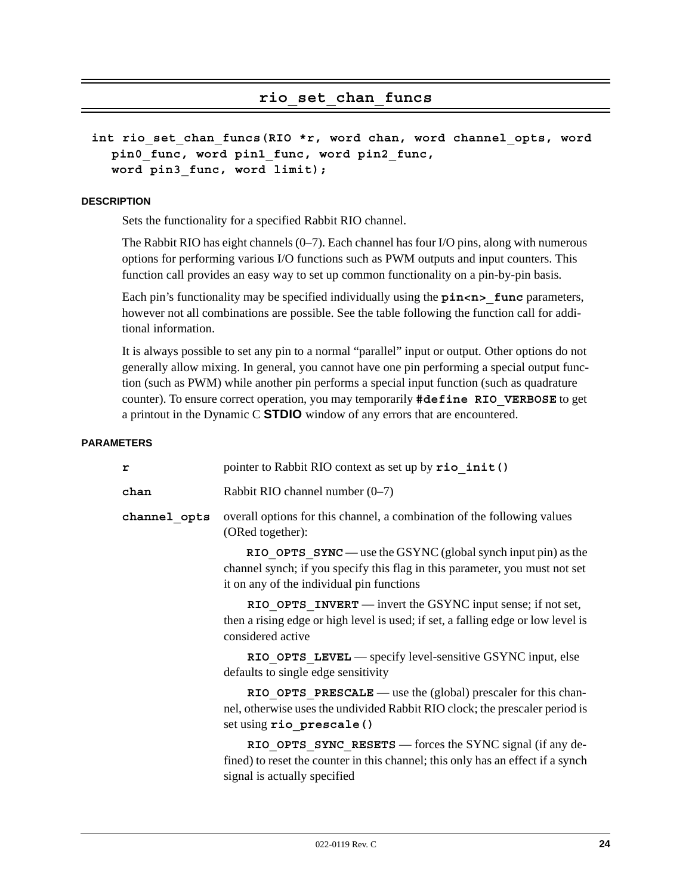## **rio\_set\_chan\_funcs**

```
int rio_set_chan_funcs(RIO *r, word chan, word channel_opts, word 
  pin0_func, word pin1_func, word pin2_func, 
  word pin3_func, word limit);
```
#### **DESCRIPTION**

Sets the functionality for a specified Rabbit RIO channel.

The Rabbit RIO has eight channels (0–7). Each channel has four I/O pins, along with numerous options for performing various I/O functions such as PWM outputs and input counters. This function call provides an easy way to set up common functionality on a pin-by-pin basis.

Each pin's functionality may be specified individually using the **pin**<n>ters, however not all combinations are possible. See the table following the function call for additional information.

It is always possible to set any pin to a normal "parallel" input or output. Other options do not generally allow mixing. In general, you cannot have one pin performing a special output function (such as PWM) while another pin performs a special input function (such as quadrature counter). To ensure correct operation, you may temporarily **#define RIO\_VERBOSE** to get a printout in the Dynamic C **STDIO** window of any errors that are encountered.

#### **PARAMETERS**

| r            | pointer to Rabbit RIO context as set up by rio init ()                                                                                                                                      |
|--------------|---------------------------------------------------------------------------------------------------------------------------------------------------------------------------------------------|
| chan         | Rabbit RIO channel number $(0-7)$                                                                                                                                                           |
| channel opts | overall options for this channel, a combination of the following values<br>(ORed together):                                                                                                 |
|              | RIO OPTS $SYNC$ — use the GSYNC (global synch input pin) as the<br>channel synch; if you specify this flag in this parameter, you must not set<br>it on any of the individual pin functions |
|              | RIO OPTS INVERT — invert the GSYNC input sense; if not set,<br>then a rising edge or high level is used; if set, a falling edge or low level is<br>considered active                        |
|              | RIO OPTS LEVEL — specify level-sensitive GSYNC input, else<br>defaults to single edge sensitivity                                                                                           |
|              | RIO OPTS PRESCALE — use the (global) prescaler for this chan-<br>nel, otherwise uses the undivided Rabbit RIO clock; the prescaler period is<br>set using rio prescale ()                   |
|              | RIO OPTS SYNC RESETS $-$ forces the SYNC signal (if any de-<br>fined) to reset the counter in this channel; this only has an effect if a synch<br>signal is actually specified              |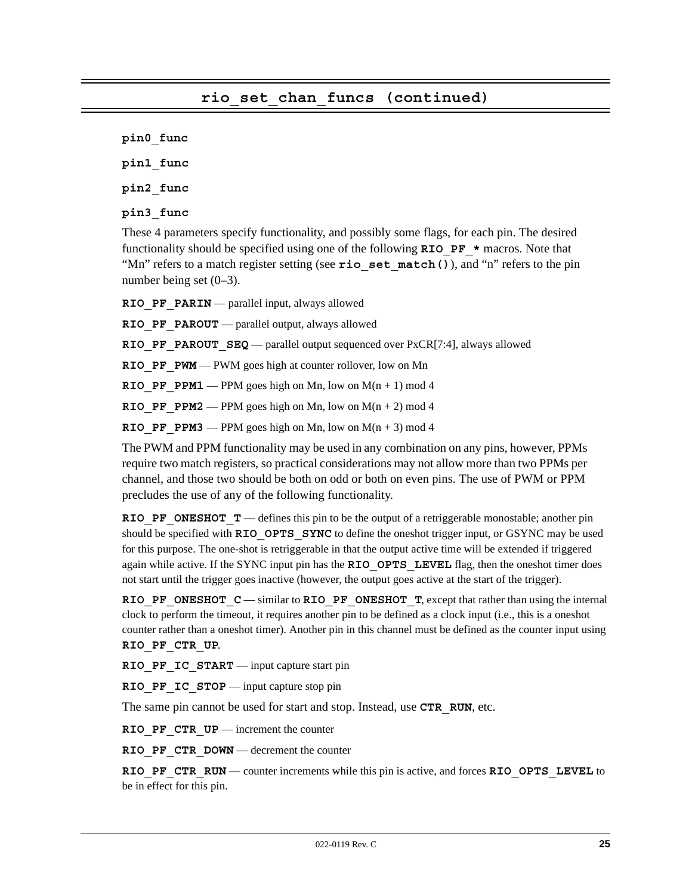**pin0\_func**

**pin1\_func**

**pin2\_func**

**pin3\_func**

These 4 parameters specify functionality, and possibly some flags, for each pin. The desired functionality should be specified using one of the following **RIO\_PF\_\*** macros. Note that "Mn" refers to a match register setting (see **rio** set match()), and "n" refers to the pin number being set (0–3).

**RIO PF PARIN** — parallel input, always allowed

**RIO PF PAROUT** — parallel output, always allowed

**RIO\_PF\_PAROUT\_SEQ** — parallel output sequenced over PxCR[7:4], always allowed

**RIO PF PWM** — PWM goes high at counter rollover, low on Mn

**RIO PF PPM1** — PPM goes high on Mn, low on  $M(n + 1)$  mod 4

**RIO PF PPM2** — PPM goes high on Mn, low on  $M(n + 2)$  mod 4

**RIO PF PPM3** — PPM goes high on Mn, low on  $M(n + 3)$  mod 4

The PWM and PPM functionality may be used in any combination on any pins, however, PPMs require two match registers, so practical considerations may not allow more than two PPMs per channel, and those two should be both on odd or both on even pins. The use of PWM or PPM precludes the use of any of the following functionality.

**RIO\_PF\_ONESHOT\_T** — defines this pin to be the output of a retriggerable monostable; another pin should be specified with **RIO** OPTS SYNC to define the oneshot trigger input, or GSYNC may be used for this purpose. The one-shot is retriggerable in that the output active time will be extended if triggered again while active. If the SYNC input pin has the **RIO** OPTS LEVEL flag, then the oneshot timer does not start until the trigger goes inactive (however, the output goes active at the start of the trigger).

**RIO\_PF\_ONESHOT\_C** — similar to **RIO\_PF\_ONESHOT\_T**, except that rather than using the internal clock to perform the timeout, it requires another pin to be defined as a clock input (i.e., this is a oneshot counter rather than a oneshot timer). Another pin in this channel must be defined as the counter input using **RIO\_PF\_CTR\_UP**.

**RIO PF IC START** — input capture start pin

**RIO PF IC STOP** — input capture stop pin

The same pin cannot be used for start and stop. Instead, use **CTR\_RUN**, etc.

**RIO PF CTR UP** — increment the counter

**RIO PF CTR DOWN** — decrement the counter

**RIO\_PF\_CTR\_RUN** — counter increments while this pin is active, and forces **RIO\_OPTS\_LEVEL** to be in effect for this pin.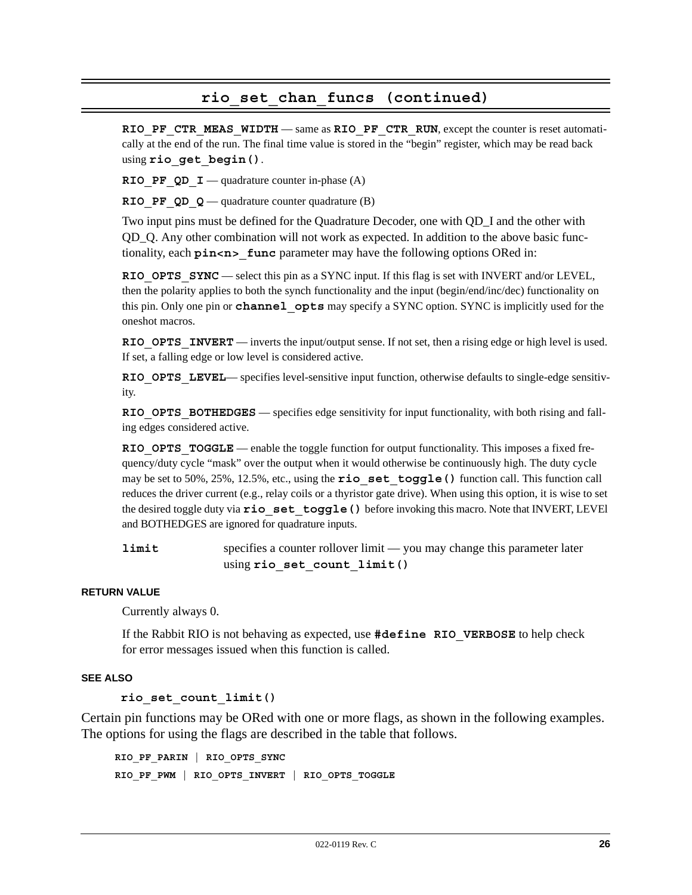### **rio\_set\_chan\_funcs (continued)**

**RIO\_PF\_CTR\_MEAS\_WIDTH** — same as **RIO\_PF\_CTR\_RUN**, except the counter is reset automatically at the end of the run. The final time value is stored in the "begin" register, which may be read back using **rio\_get\_begin()**.

**RIO PF QD**  $I$  — quadrature counter in-phase (A)

**RIO PF QD Q** — quadrature counter quadrature (B)

Two input pins must be defined for the Quadrature Decoder, one with QD\_I and the other with QD\_Q. Any other combination will not work as expected. In addition to the above basic functionality, each **pin<n>** func parameter may have the following options ORed in:

**RIO OPTS SYNC** — select this pin as a SYNC input. If this flag is set with INVERT and/or LEVEL, then the polarity applies to both the synch functionality and the input (begin/end/inc/dec) functionality on this pin. Only one pin or **channel\_opts** may specify a SYNC option. SYNC is implicitly used for the oneshot macros.

**RIO OPTS INVERT** — inverts the input/output sense. If not set, then a rising edge or high level is used. If set, a falling edge or low level is considered active.

**RIO\_OPTS\_LEVEL—** specifies level-sensitive input function, otherwise defaults to single-edge sensitivity.

**RIO OPTS BOTHEDGES** — specifies edge sensitivity for input functionality, with both rising and falling edges considered active.

**RIO OPTS TOGGLE** — enable the toggle function for output functionality. This imposes a fixed frequency/duty cycle "mask" over the output when it would otherwise be continuously high. The duty cycle may be set to 50%, 25%, 12.5%, etc., using the **rio\_set\_toggle()** function call. This function call reduces the driver current (e.g., relay coils or a thyristor gate drive). When using this option, it is wise to set the desired toggle duty via **rio\_set\_toggle()** before invoking this macro. Note that INVERT, LEVEl and BOTHEDGES are ignored for quadrature inputs.

**limit** specifies a counter rollover limit — you may change this parameter later using **rio\_set\_count\_limit()**

#### **RETURN VALUE**

Currently always 0.

If the Rabbit RIO is not behaving as expected, use **#define RIO\_VERBOSE** to help check for error messages issued when this function is called.

#### **SEE ALSO**

**rio\_set\_count\_limit()**

Certain pin functions may be ORed with one or more flags, as shown in the following examples. The options for using the flags are described in the table that follows.

**RIO\_PF\_PARIN | RIO\_OPTS\_SYNC RIO\_PF\_PWM | RIO\_OPTS\_INVERT | RIO\_OPTS\_TOGGLE**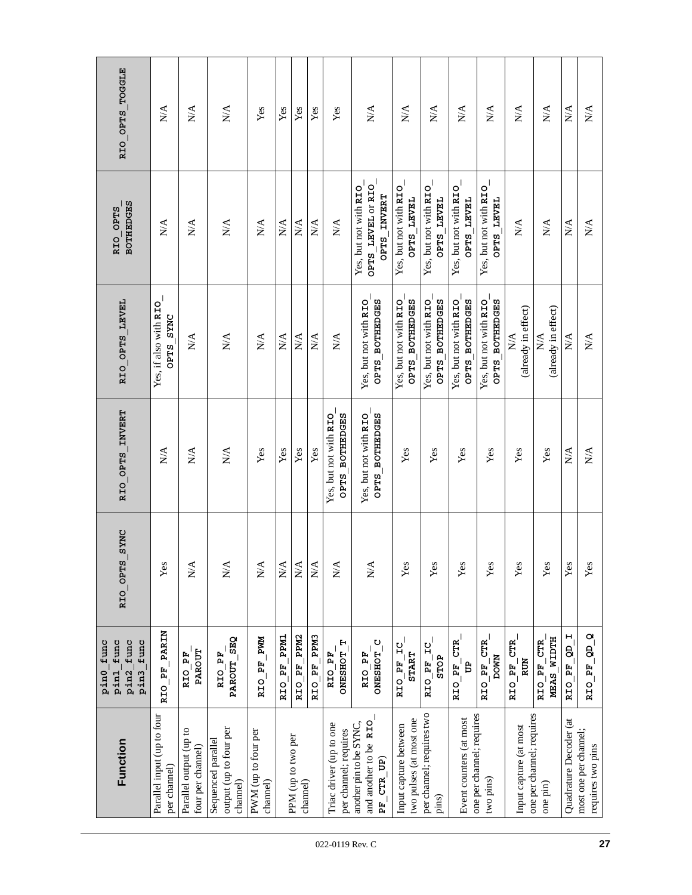| RIO OPTS TOGGLE                                          | $\mathbb{N}\mathbb{A}$                     | $\stackrel{\triangle}{\approx}$                   | $\stackrel{\blacktriangle}{\approx}$                     | Yes                             | Yes                    | Yes                            | Yes                             | Yes                                               | $\sum_{i=1}^{n}$                                                                             | $\sum_{i=1}^{n}$                                 | $\mathop{\mathsf{N}}\nolimits\mathop{\mathsf{A}}$        | $\sum_{i=1}^{n}$                                                    | $\stackrel{\blacktriangle}{\approx}$        | $\stackrel{\triangle}{\approx}$       | $\stackrel{\triangle}{\approx}$       | $\sum_{i=1}^{n}$             | $\mathbb{X}^{\mathsf{A}}$                  |
|----------------------------------------------------------|--------------------------------------------|---------------------------------------------------|----------------------------------------------------------|---------------------------------|------------------------|--------------------------------|---------------------------------|---------------------------------------------------|----------------------------------------------------------------------------------------------|--------------------------------------------------|----------------------------------------------------------|---------------------------------------------------------------------|---------------------------------------------|---------------------------------------|---------------------------------------|------------------------------|--------------------------------------------|
| <b>BOTHEDGES</b><br>RIO OPTS                             | $\stackrel{\triangle}{\approx}$            | $\stackrel{\triangle}{\approx}$                   | $\mathbb{N}\mathbb{A}$                                   | $\mathbb{N}\mathbb{A}$          | $N\mathbf{A}$          | $\mathbb{N}\mathbb{A}$         | $\frac{\mathbf{A}}{\mathbf{N}}$ | $N\mathbf{A}$                                     | OPTS LEVEL OF RIO<br>Yes, but not with RIO<br>OPTS INVERT                                    | Yes, but not with RIO<br>OPTS LEVEL              | Yes, but not with RIO_<br><b>OPTS LEVEL</b>              | Yes, but not with RIO_<br>OPTS LEVEL                                | Yes, but not with RIO_<br><b>OPTS LEVEL</b> | $\stackrel{\triangle}{\approx}$       | $\mathbb{N}\mathbb{A}$                | $\mathbb{N} \mathbb{A}$      | $\mathbb{N}\mathbb{A}$                     |
| RIO OPTS LEVEL                                           | Yes, if also with RIO_<br>OPTS SYNC        | $\stackrel{\triangle}{\geq}$                      | $\mathop{\mathsf{N}}\nolimits\mathop{\mathsf{A}}$        | $\mathbb{N}\mathbb{A}$          | $\mathbb{N}\mathbb{A}$ | $\mathbb{N}\mathbb{A}$         | $N\mathbf{A}$                   | $\mathop{\mathsf{N}}\nolimits\mathop{\mathsf{A}}$ | OPTS BOTHEDGES<br>Yes, but not with RIO                                                      | OPTS BOTHEDGES<br>Yes, but not with RIO          | <b>BOTHEDGES</b><br>Yes, but not with RIO<br><b>SLGO</b> | OPTS BOTHEDGES<br>Yes, but not with RIO                             | OPTS BOTHEDGES<br>Yes, but not with RIO     | (already in effect)<br>$N\mathcal{A}$ | (already in effect)<br>$N\mathcal{A}$ | $\stackrel{\triangle}{\geq}$ | $\stackrel{\triangle}{\approx}$            |
| RIO OPTS INVERT                                          | $\mathbb{N}\mathbb{A}$                     | $\mathop{\mathsf{N}}\nolimits\mathop{\mathsf{A}}$ | $\mathop{\mathrm{NA}}$                                   | Yes                             | Yes                    | Yes                            | Yes                             | OPTS BOTHEDGES<br>Yes, but not with RIO           | Yes, but not with RIO<br>OPTS BOTHEDGES                                                      | Yes                                              | Yes                                                      | Yes                                                                 | Yes                                         | Yes                                   | Yes                                   | $\mathbb{N} \mathbb{A}$      | N/A                                        |
| RIO OPTS SYNC                                            | Yes                                        | $\stackrel{\triangle}{\geq}$                      | $\mathbf{N} \mathbf{A}$                                  | $N\mathbf{A}$                   | $\mathbf{N}\mathbf{A}$ | $\mathbb{N}\mathbb{A}$         | $\mathbb{N}\mathbb{A}$          | $\mathbf{N}/\mathbf{A}$                           | N/A                                                                                          | Yes                                              | Yes                                                      | Yes                                                                 | Yes                                         | $\mathbf{Yes}$                        | Yes                                   | Yes                          | Yes                                        |
| func<br>pin3_func<br>pinl_func<br>pin0_func<br>I<br>pin2 | RIO PF PARIN                               | PAROUT<br>RIO PF                                  | PAROUT SEQ<br>RIO PF                                     | RIO PF PWM                      | <b>LNdd</b><br>RIO PF  | RIO PF PPM2                    | RIO PF PPM3                     | <b>DNESHOT T</b><br>RIO PF                        | ONESHOT_C<br>RIO PF                                                                          | RIO PF IC<br><b>START</b>                        | RIO PF IC<br><b>STOP</b>                                 | $\begin{array}{c} \texttt{RIO\_PF\_CTR} \\ \texttt{UP} \end{array}$ | RIO PF CTR<br><b>DOWN</b>                   | RIO PF CTR<br>RUN                     | MEAS WIDTH<br>RIO PF CTR              | RIO PF QD I                  | $RIO$ $PF$ $QD$ $Q$                        |
| Function                                                 | Parallel input (up to four<br>per channel) | Parallel output (up to<br>four per channel)       | output (up to four per<br>Sequenced parallel<br>channel) | PWM (up to four per<br>channel) |                        | PPM (up to two per<br>channel) |                                 | Triac driver (up to one<br>per channel; requires  | and another to be RIO<br>another pin to be SYNC,<br>$\mathbf{PF}\_ \text{CTR} \_ \text{UP})$ | two pulses (at most one<br>Input capture between | per channel; requires two<br>pins)                       | one per channel; requires<br>Event counters (at most                | two pins)                                   | Input capture (at most                | one per channel; requires<br>one pin) | Quadrature Decoder (at       | most one per channel;<br>requires two pins |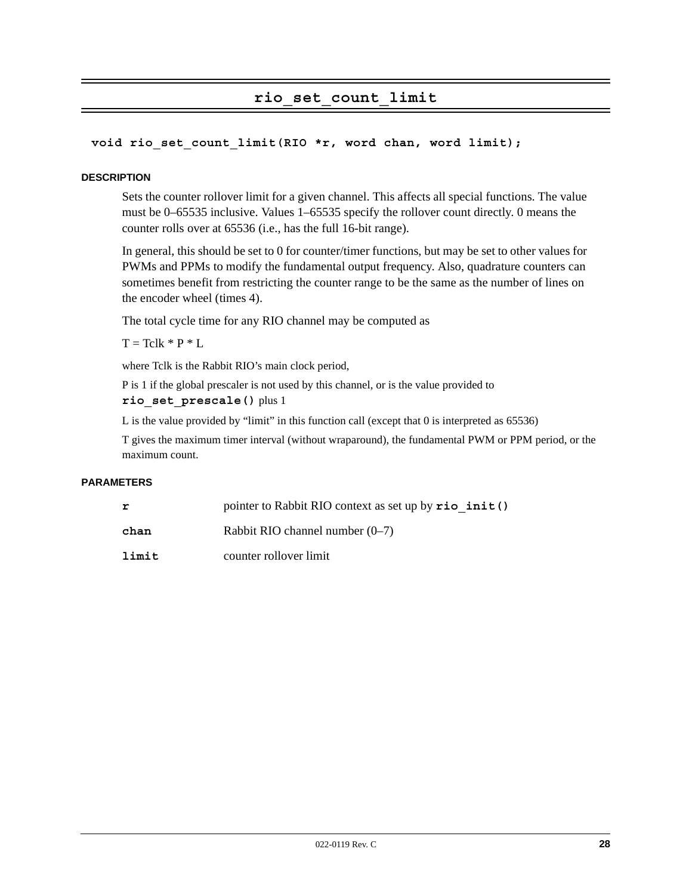# **rio\_set\_count\_limit**

#### **void rio\_set\_count\_limit(RIO \*r, word chan, word limit);**

#### **DESCRIPTION**

Sets the counter rollover limit for a given channel. This affects all special functions. The value must be 0–65535 inclusive. Values 1–65535 specify the rollover count directly. 0 means the counter rolls over at 65536 (i.e., has the full 16-bit range).

In general, this should be set to 0 for counter/timer functions, but may be set to other values for PWMs and PPMs to modify the fundamental output frequency. Also, quadrature counters can sometimes benefit from restricting the counter range to be the same as the number of lines on the encoder wheel (times 4).

The total cycle time for any RIO channel may be computed as

 $T = Tclk * P * L$ 

where Tclk is the Rabbit RIO's main clock period,

P is 1 if the global prescaler is not used by this channel, or is the value provided to **rio\_set\_prescale()** plus 1

L is the value provided by "limit" in this function call (except that 0 is interpreted as 65536)

T gives the maximum timer interval (without wraparound), the fundamental PWM or PPM period, or the maximum count.

#### **PARAMETERS**

| r     | pointer to Rabbit RIO context as set up by rio init () |
|-------|--------------------------------------------------------|
| chan  | Rabbit RIO channel number $(0-7)$                      |
| limit | counter rollover limit                                 |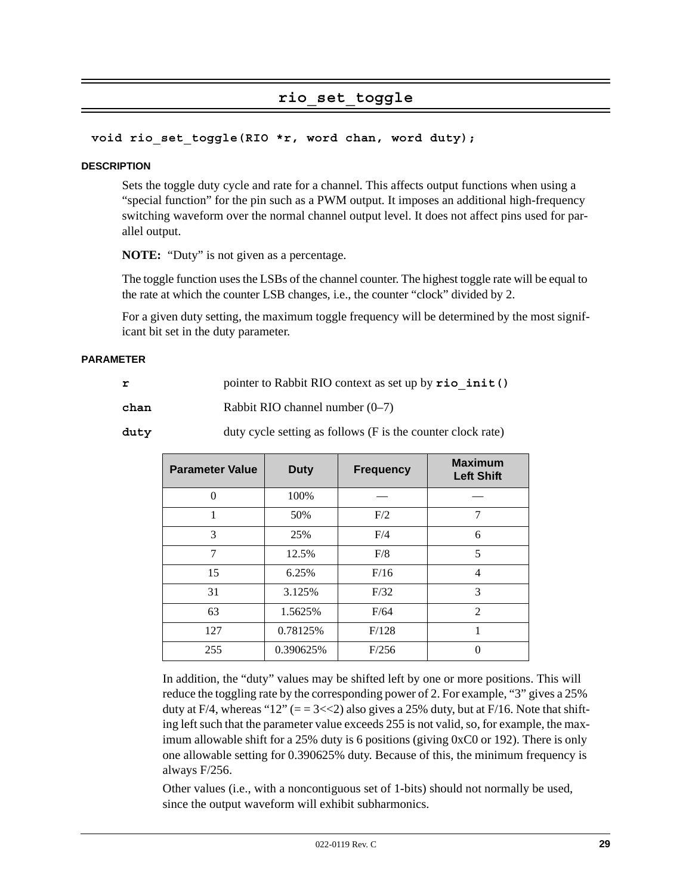# **rio\_set\_toggle**

#### **void rio\_set\_toggle(RIO \*r, word chan, word duty);**

#### **DESCRIPTION**

Sets the toggle duty cycle and rate for a channel. This affects output functions when using a "special function" for the pin such as a PWM output. It imposes an additional high-frequency switching waveform over the normal channel output level. It does not affect pins used for parallel output.

**NOTE:** "Duty" is not given as a percentage.

The toggle function uses the LSBs of the channel counter. The highest toggle rate will be equal to the rate at which the counter LSB changes, i.e., the counter "clock" divided by 2.

For a given duty setting, the maximum toggle frequency will be determined by the most significant bit set in the duty parameter.

#### **PARAMETER**

|  | pointer to Rabbit RIO context as set up by rio init () |  |
|--|--------------------------------------------------------|--|
|  |                                                        |  |

**chan** Rabbit RIO channel number (0–7)

duty duty cycle setting as follows (F is the counter clock rate)

| <b>Parameter Value</b> | <b>Duty</b> | <b>Frequency</b> | <b>Maximum</b><br><b>Left Shift</b> |
|------------------------|-------------|------------------|-------------------------------------|
| $\Omega$               | 100%        |                  |                                     |
|                        | 50%         | F/2              | 7                                   |
| 3                      | 25%         | F/4              | 6                                   |
| 7                      | 12.5%       | F/8              | 5                                   |
| 15                     | 6.25%       | F/16             | 4                                   |
| 31                     | 3.125%      | F/32             | 3                                   |
| 63                     | 1.5625%     | F/64             | $\overline{2}$                      |
| 127                    | 0.78125%    | F/128            | 1                                   |
| 255                    | 0.390625%   | F/256            |                                     |

In addition, the "duty" values may be shifted left by one or more positions. This will reduce the toggling rate by the corresponding power of 2. For example, "3" gives a 25% duty at F/4, whereas "12" ( $= 3 \ll 2$ ) also gives a 25% duty, but at F/16. Note that shifting left such that the parameter value exceeds 255 is not valid, so, for example, the maximum allowable shift for a 25% duty is 6 positions (giving 0xC0 or 192). There is only one allowable setting for 0.390625% duty. Because of this, the minimum frequency is always F/256.

Other values (i.e., with a noncontiguous set of 1-bits) should not normally be used, since the output waveform will exhibit subharmonics.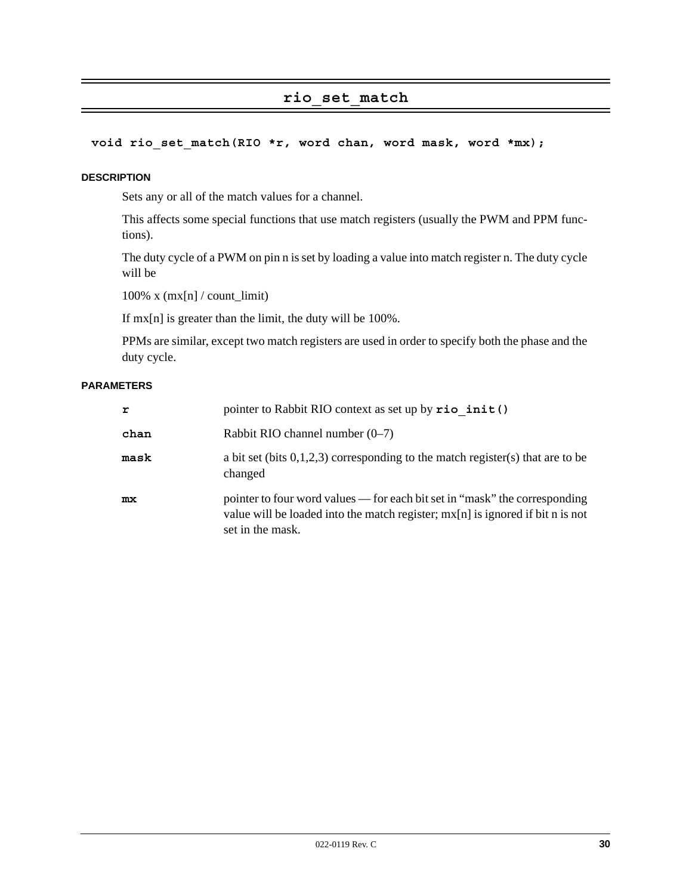## **rio\_set\_match**

#### **void rio\_set\_match(RIO \*r, word chan, word mask, word \*mx);**

#### **DESCRIPTION**

Sets any or all of the match values for a channel.

This affects some special functions that use match registers (usually the PWM and PPM functions).

The duty cycle of a PWM on pin n is set by loading a value into match register n. The duty cycle will be

 $100\%$  x (mx[n] / count\_limit)

If mx[n] is greater than the limit, the duty will be 100%.

PPMs are similar, except two match registers are used in order to specify both the phase and the duty cycle.

#### **PARAMETERS**

| r    | pointer to Rabbit RIO context as set up by rio init ()                                                                                                                             |
|------|------------------------------------------------------------------------------------------------------------------------------------------------------------------------------------|
| chan | Rabbit RIO channel number $(0-7)$                                                                                                                                                  |
| mask | a bit set (bits $0,1,2,3$ ) corresponding to the match register(s) that are to be<br>changed                                                                                       |
| mx   | pointer to four word values — for each bit set in "mask" the corresponding<br>value will be loaded into the match register; $mx[n]$ is ignored if bit n is not<br>set in the mask. |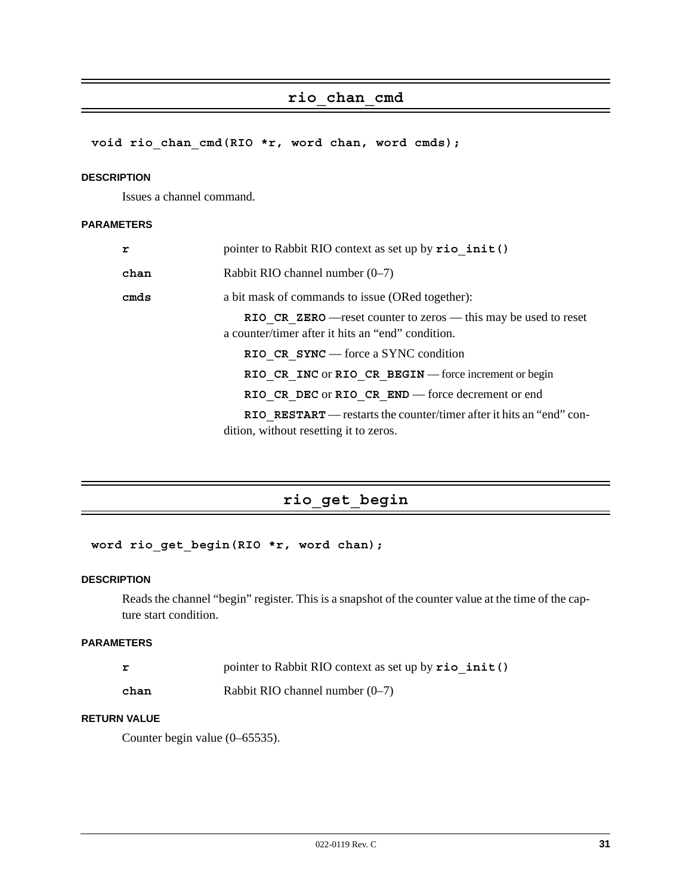# **rio\_chan\_cmd**

**void rio\_chan\_cmd(RIO \*r, word chan, word cmds);**

#### **DESCRIPTION**

Issues a channel command.

#### **PARAMETERS**

| r    | pointer to Rabbit RIO context as set up by rio init ()                                                                |
|------|-----------------------------------------------------------------------------------------------------------------------|
| chan | Rabbit RIO channel number $(0-7)$                                                                                     |
| cmds | a bit mask of commands to issue (ORed together):                                                                      |
|      | RIO CR ZERO — reset counter to zeros — this may be used to reset<br>a counter/timer after it hits an "end" condition. |
|      | RIO CR $SYNC$ – force a SYNC condition                                                                                |
|      | RIO CR INC OF RIO CR BEGIN — force increment or begin                                                                 |
|      | RIO CR DEC or RIO CR END — force decrement or end                                                                     |
|      | RIO RESTART — restarts the counter/timer after it hits an "end" con-<br>dition, without resetting it to zeros.        |

# **rio\_get\_begin**

#### **word rio\_get\_begin(RIO \*r, word chan);**

#### **DESCRIPTION**

Reads the channel "begin" register. This is a snapshot of the counter value at the time of the capture start condition.

#### **PARAMETERS**

|      | pointer to Rabbit RIO context as set up by rio init () |  |
|------|--------------------------------------------------------|--|
| chan | Rabbit RIO channel number $(0-7)$                      |  |

#### **RETURN VALUE**

Counter begin value (0–65535).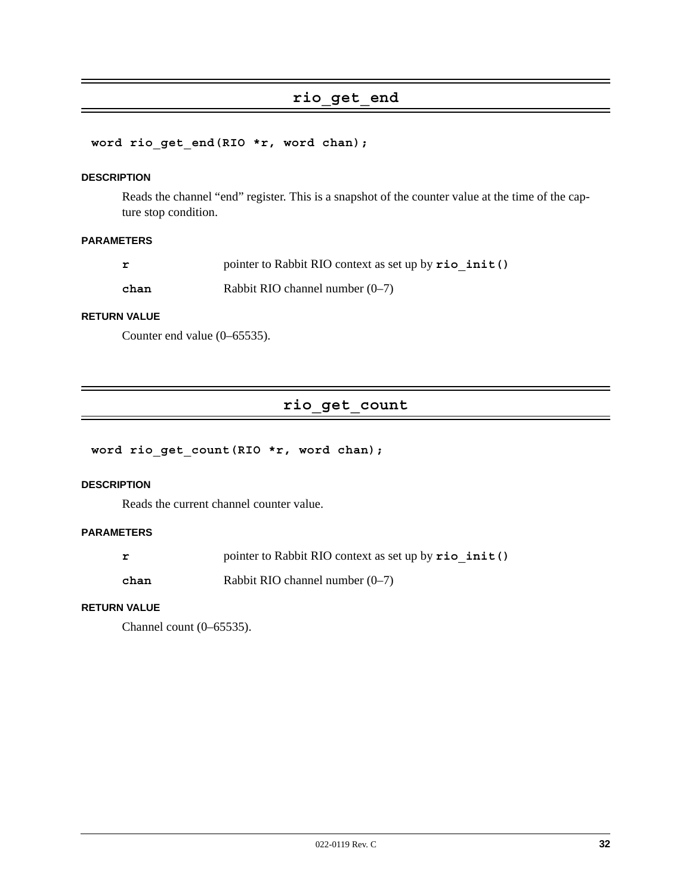# **rio\_get\_end**

#### **word rio\_get\_end(RIO \*r, word chan);**

#### **DESCRIPTION**

Reads the channel "end" register. This is a snapshot of the counter value at the time of the capture stop condition.

#### **PARAMETERS**

| r    | pointer to Rabbit RIO context as set up by rio init () |
|------|--------------------------------------------------------|
| chan | Rabbit RIO channel number $(0-7)$                      |

#### **RETURN VALUE**

Counter end value (0–65535).

# **rio\_get\_count**

#### **word rio\_get\_count(RIO \*r, word chan);**

#### **DESCRIPTION**

Reads the current channel counter value.

#### **PARAMETERS**

|      | pointer to Rabbit RIO context as set up by rio init () |
|------|--------------------------------------------------------|
| chan | Rabbit RIO channel number $(0-7)$                      |

#### **RETURN VALUE**

Channel count (0–65535).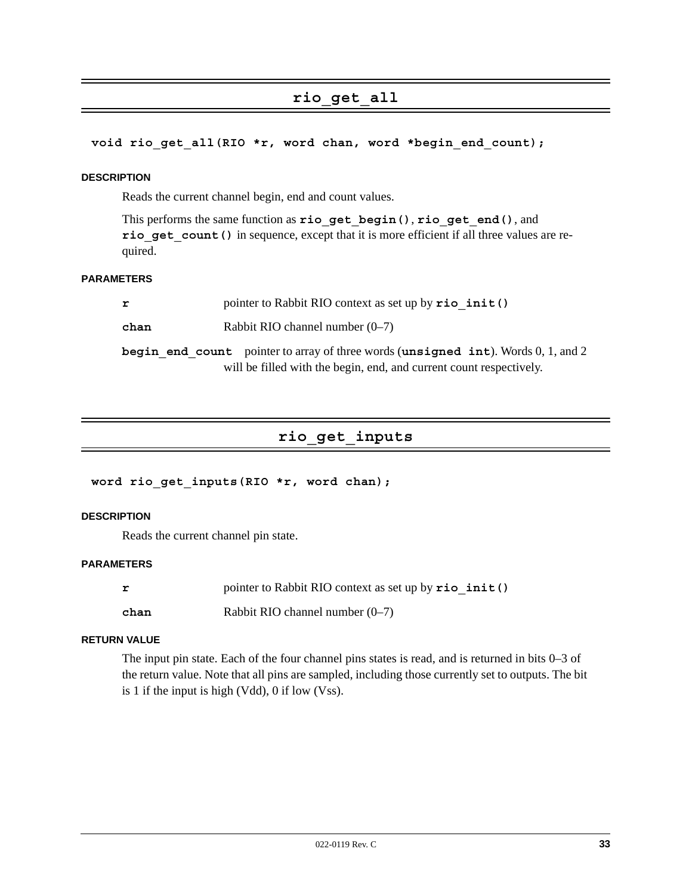# **rio\_get\_all**

#### **void rio\_get\_all(RIO \*r, word chan, word \*begin\_end\_count);**

#### **DESCRIPTION**

Reads the current channel begin, end and count values.

This performs the same function as **rio\_get\_begin()**, **rio\_get\_end()**, and rio get count () in sequence, except that it is more efficient if all three values are required.

#### **PARAMETERS**

| r    | pointer to Rabbit RIO context as set up by $\text{rio init}()$                                                                                              |
|------|-------------------------------------------------------------------------------------------------------------------------------------------------------------|
| chan | Rabbit RIO channel number $(0-7)$                                                                                                                           |
|      | begin end count pointer to array of three words (unsigned int). Words $0, 1$ , and 2<br>will be filled with the begin, end, and current count respectively. |
|      |                                                                                                                                                             |

# **rio\_get\_inputs**

#### **word rio\_get\_inputs(RIO \*r, word chan);**

#### **DESCRIPTION**

Reads the current channel pin state.

#### **PARAMETERS**

| r    | pointer to Rabbit RIO context as set up by rio init () |
|------|--------------------------------------------------------|
| chan | Rabbit RIO channel number $(0-7)$                      |

#### **RETURN VALUE**

The input pin state. Each of the four channel pins states is read, and is returned in bits 0–3 of the return value. Note that all pins are sampled, including those currently set to outputs. The bit is 1 if the input is high (Vdd), 0 if low (Vss).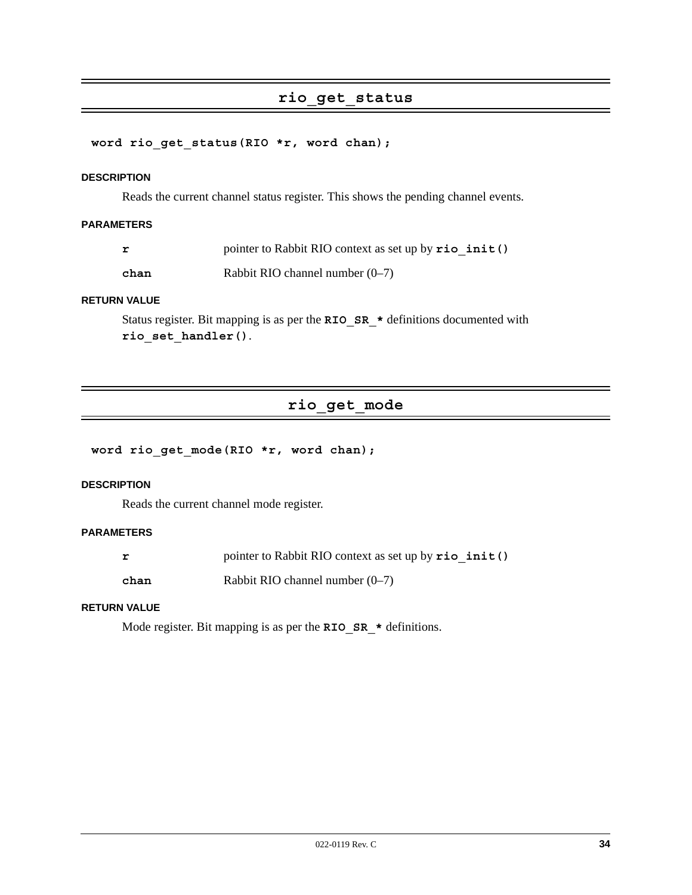### **rio\_get\_status**

#### **word rio\_get\_status(RIO \*r, word chan);**

#### **DESCRIPTION**

Reads the current channel status register. This shows the pending channel events.

#### **PARAMETERS**

|      | pointer to Rabbit RIO context as set up by rio init () |
|------|--------------------------------------------------------|
| chan | Rabbit RIO channel number $(0-7)$                      |

#### **RETURN VALUE**

Status register. Bit mapping is as per the **RIO\_SR\_\*** definitions documented with **rio\_set\_handler()**.

# **rio\_get\_mode**

#### **word rio\_get\_mode(RIO \*r, word chan);**

#### **DESCRIPTION**

Reads the current channel mode register.

#### **PARAMETERS**

|      | pointer to Rabbit RIO context as set up by rio init () |
|------|--------------------------------------------------------|
| chan | Rabbit RIO channel number $(0-7)$                      |

#### **RETURN VALUE**

Mode register. Bit mapping is as per the **RIO\_SR\_\*** definitions.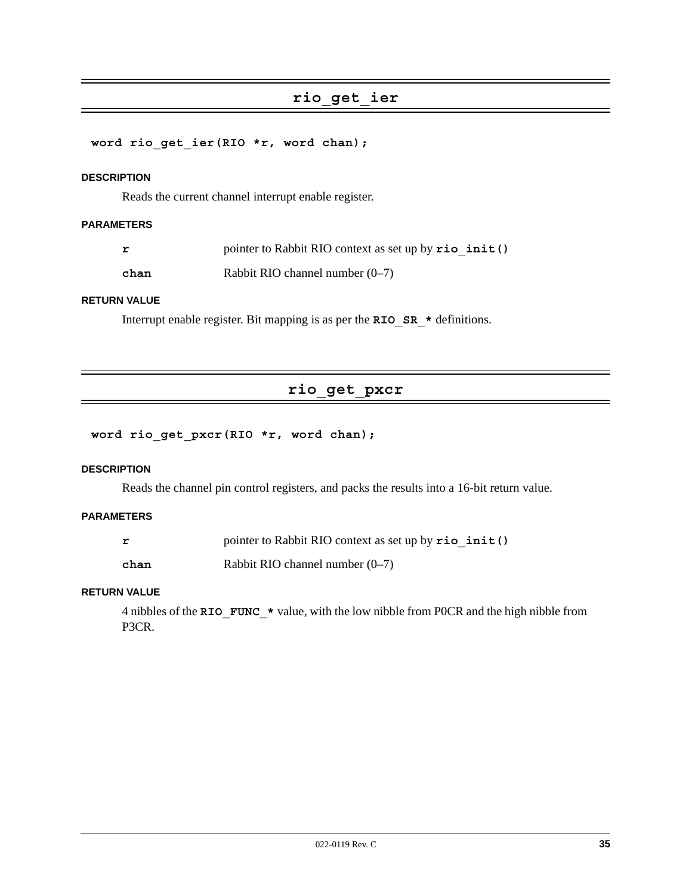# **rio\_get\_ier**

#### **word rio\_get\_ier(RIO \*r, word chan);**

#### **DESCRIPTION**

Reads the current channel interrupt enable register.

#### **PARAMETERS**

**chan** Rabbit RIO channel number (0–7)

#### **RETURN VALUE**

Interrupt enable register. Bit mapping is as per the **RIO\_SR\_\*** definitions.

# **rio\_get\_pxcr**

#### **word rio\_get\_pxcr(RIO \*r, word chan);**

#### **DESCRIPTION**

Reads the channel pin control registers, and packs the results into a 16-bit return value.

#### **PARAMETERS**

|      | pointer to Rabbit RIO context as set up by $\text{rio init}()$ |  |
|------|----------------------------------------------------------------|--|
| chan | Rabbit RIO channel number $(0-7)$                              |  |

#### **RETURN VALUE**

4 nibbles of the **RIO\_FUNC\_\*** value, with the low nibble from P0CR and the high nibble from P3CR.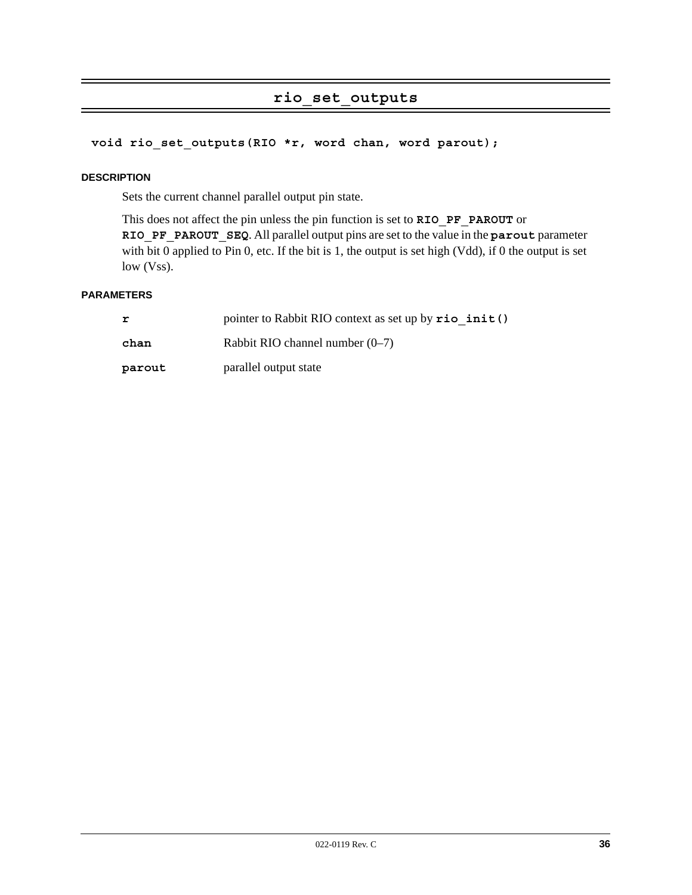# **rio\_set\_outputs**

#### **void rio\_set\_outputs(RIO \*r, word chan, word parout);**

#### **DESCRIPTION**

Sets the current channel parallel output pin state.

This does not affect the pin unless the pin function is set to **RIO\_PF\_PAROUT** or **RIO\_PF\_PAROUT\_SEQ**. All parallel output pins are set to the value in the **parout** parameter with bit 0 applied to Pin 0, etc. If the bit is 1, the output is set high (Vdd), if 0 the output is set low (Vss).

#### **PARAMETERS**

| r      | pointer to Rabbit RIO context as set up by rio init () |
|--------|--------------------------------------------------------|
| chan   | Rabbit RIO channel number $(0-7)$                      |
| parout | parallel output state                                  |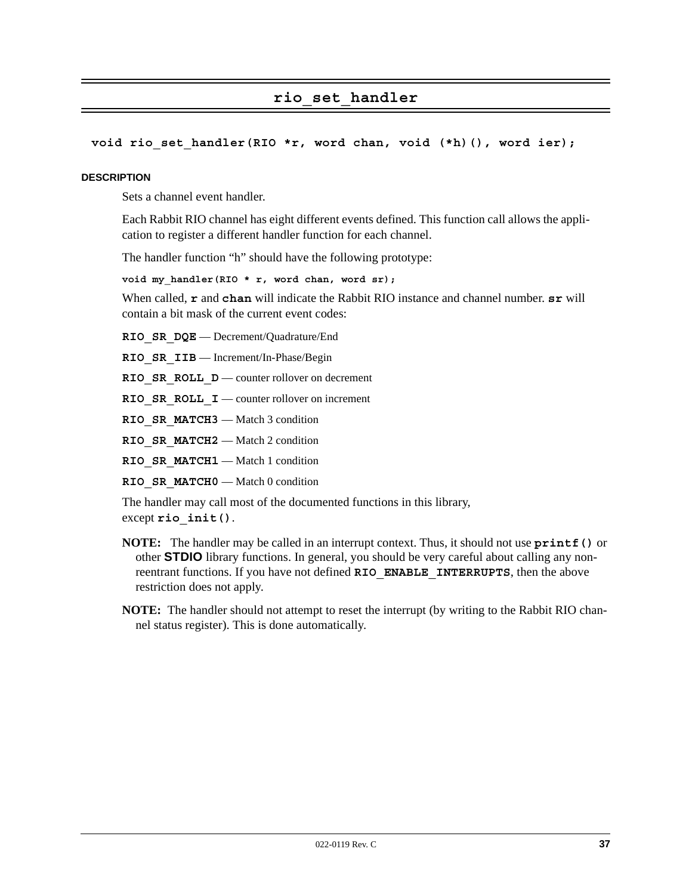# **rio\_set\_handler**

#### **void rio\_set\_handler(RIO \*r, word chan, void (\*h)(), word ier);**

#### **DESCRIPTION**

Sets a channel event handler.

Each Rabbit RIO channel has eight different events defined. This function call allows the application to register a different handler function for each channel.

The handler function "h" should have the following prototype:

**void my\_handler(RIO \* r, word chan, word sr);**

When called, **r** and **chan** will indicate the Rabbit RIO instance and channel number. **sr** will contain a bit mask of the current event codes:

**RIO\_SR\_DQE** — Decrement/Quadrature/End

**RIO\_SR\_IIB** — Increment/In-Phase/Begin

**RIO\_SR\_ROLL\_D** — counter rollover on decrement

**RIO\_SR\_ROLL\_I** — counter rollover on increment

**RIO\_SR\_MATCH3** — Match 3 condition

**RIO\_SR\_MATCH2** — Match 2 condition

RIO SR MATCH1 — Match 1 condition

**RIO\_SR\_MATCH0** — Match 0 condition

The handler may call most of the documented functions in this library,

except **rio\_init()**.

- **NOTE:** The handler may be called in an interrupt context. Thus, it should not use **printf()** or other **STDIO** library functions. In general, you should be very careful about calling any nonreentrant functions. If you have not defined **RIO\_ENABLE\_INTERRUPTS**, then the above restriction does not apply.
- **NOTE:** The handler should not attempt to reset the interrupt (by writing to the Rabbit RIO channel status register). This is done automatically.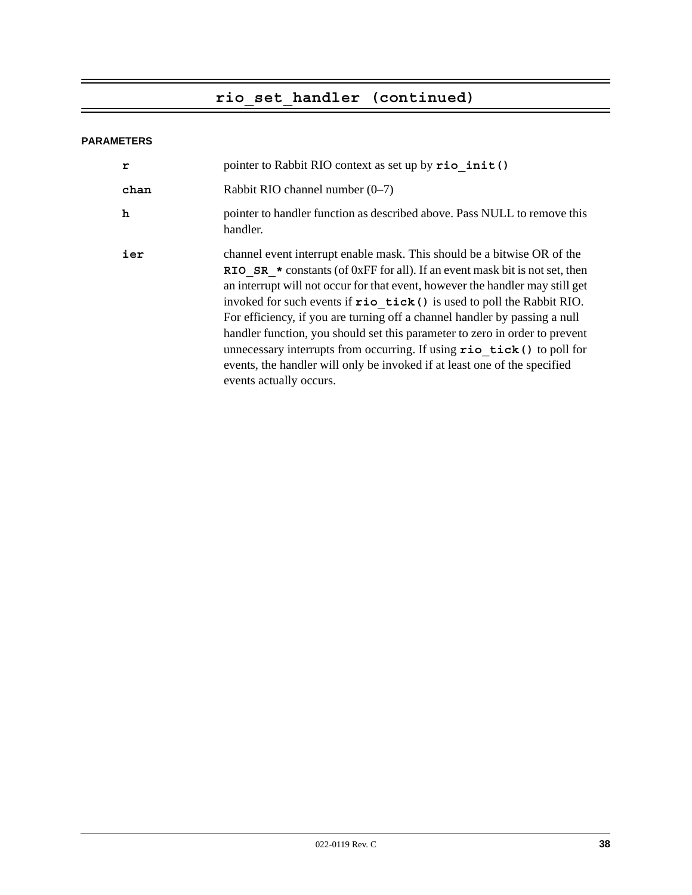# **rio\_set\_handler (continued)**

#### **PARAMETERS**

| r    | pointer to Rabbit RIO context as set up by rio init ()                                                                                                                                                                                                                                                                                                                                                                                                                                                                                                                                                                                                                       |
|------|------------------------------------------------------------------------------------------------------------------------------------------------------------------------------------------------------------------------------------------------------------------------------------------------------------------------------------------------------------------------------------------------------------------------------------------------------------------------------------------------------------------------------------------------------------------------------------------------------------------------------------------------------------------------------|
| chan | Rabbit RIO channel number $(0-7)$                                                                                                                                                                                                                                                                                                                                                                                                                                                                                                                                                                                                                                            |
| h    | pointer to handler function as described above. Pass NULL to remove this<br>handler.                                                                                                                                                                                                                                                                                                                                                                                                                                                                                                                                                                                         |
| ier  | channel event interrupt enable mask. This should be a bitwise OR of the<br>RIO SR $*$ constants (of 0xFF for all). If an event mask bit is not set, then<br>an interrupt will not occur for that event, however the handler may still get<br>invoked for such events if $\text{rio}$ tick () is used to poll the Rabbit RIO.<br>For efficiency, if you are turning off a channel handler by passing a null<br>handler function, you should set this parameter to zero in order to prevent<br>unnecessary interrupts from occurring. If using rio tick () to poll for<br>events, the handler will only be invoked if at least one of the specified<br>events actually occurs. |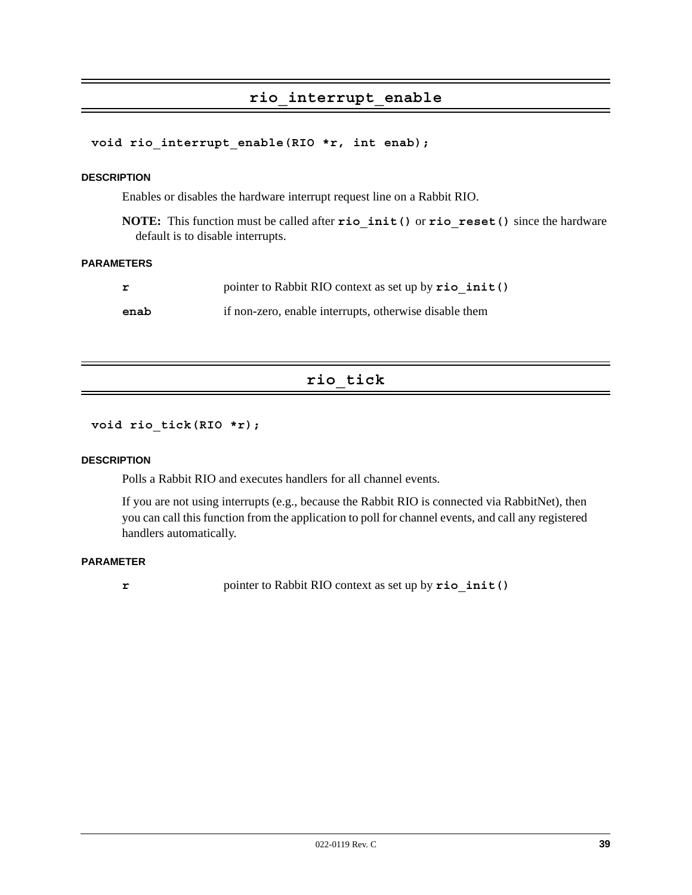# **rio\_interrupt\_enable**

#### **void rio\_interrupt\_enable(RIO \*r, int enab);**

#### **DESCRIPTION**

Enables or disables the hardware interrupt request line on a Rabbit RIO.

**NOTE:** This function must be called after **rio\_init()** or **rio\_reset()** since the hardware default is to disable interrupts.

#### **PARAMETERS**

|      | pointer to Rabbit RIO context as set up by $\text{rio init}()$ |
|------|----------------------------------------------------------------|
| enab | if non-zero, enable interrupts, otherwise disable them         |

# **rio\_tick**

```
void rio_tick(RIO *r);
```
#### **DESCRIPTION**

Polls a Rabbit RIO and executes handlers for all channel events.

If you are not using interrupts (e.g., because the Rabbit RIO is connected via RabbitNet), then you can call this function from the application to poll for channel events, and call any registered handlers automatically.

#### **PARAMETER**

**r** pointer to Rabbit RIO context as set up by **rio\_init()**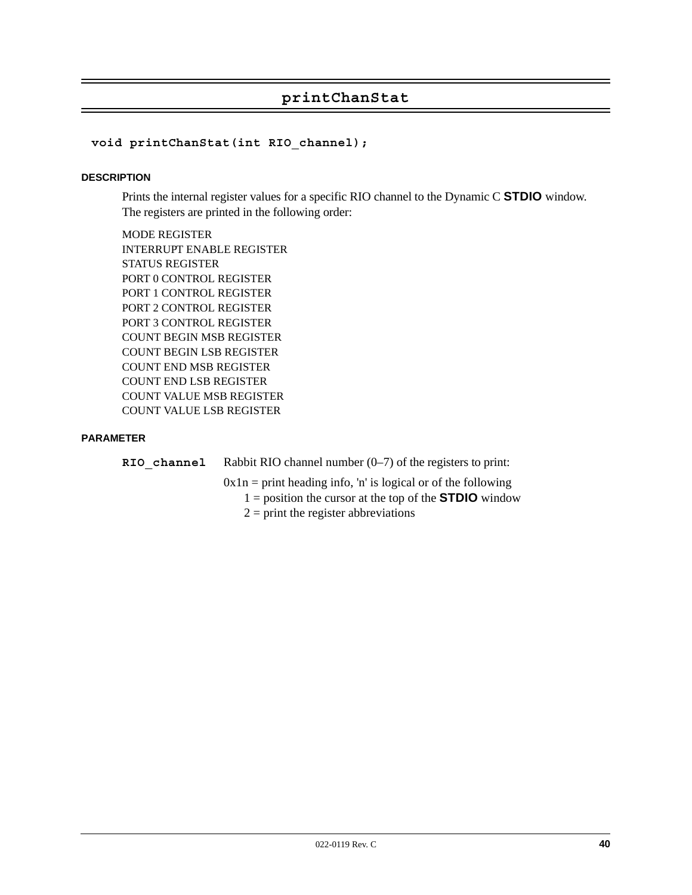# **printChanStat**

#### **void printChanStat(int RIO\_channel);**

#### **DESCRIPTION**

Prints the internal register values for a specific RIO channel to the Dynamic C **STDIO** window. The registers are printed in the following order:

MODE REGISTER INTERRUPT ENABLE REGISTER STATUS REGISTER PORT 0 CONTROL REGISTER PORT 1 CONTROL REGISTER PORT 2 CONTROL REGISTER PORT 3 CONTROL REGISTER COUNT BEGIN MSB REGISTER COUNT BEGIN LSB REGISTER COUNT END MSB REGISTER COUNT END LSB REGISTER COUNT VALUE MSB REGISTER COUNT VALUE LSB REGISTER

#### **PARAMETER**

**RIO** channel Rabbit RIO channel number (0–7) of the registers to print:

 $0x1n = print heading info, 'n' is logical or of the following$ 

- 1 = position the cursor at the top of the **STDIO** window
	- $2 =$  print the register abbreviations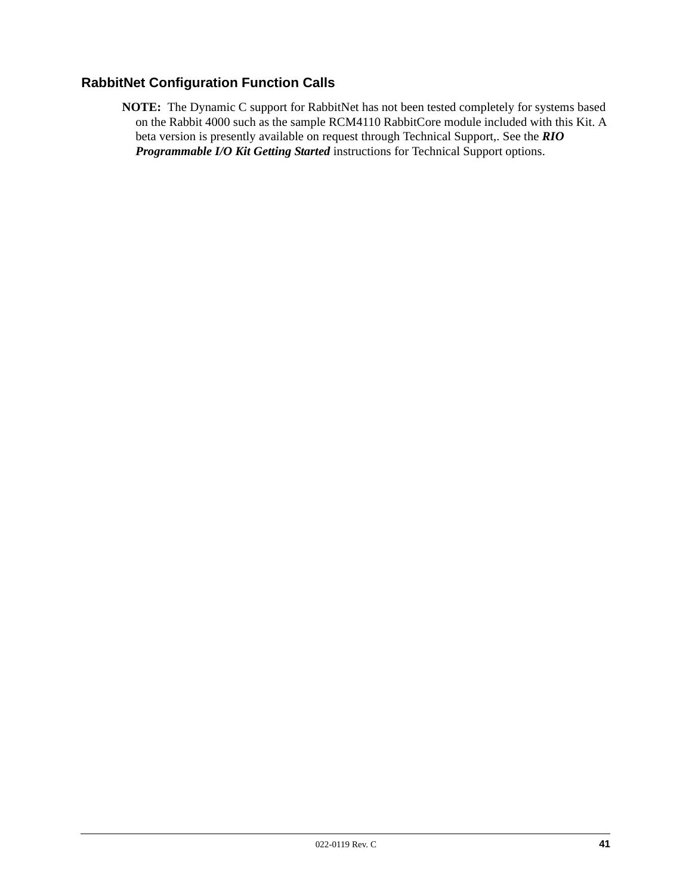# **RabbitNet Configuration Function Calls**

**NOTE:** The Dynamic C support for RabbitNet has not been tested completely for systems based on the Rabbit 4000 such as the sample RCM4110 RabbitCore module included with this Kit. A beta version is presently available on request through Technical Support,. See the *RIO Programmable I/O Kit Getting Started* instructions for Technical Support options.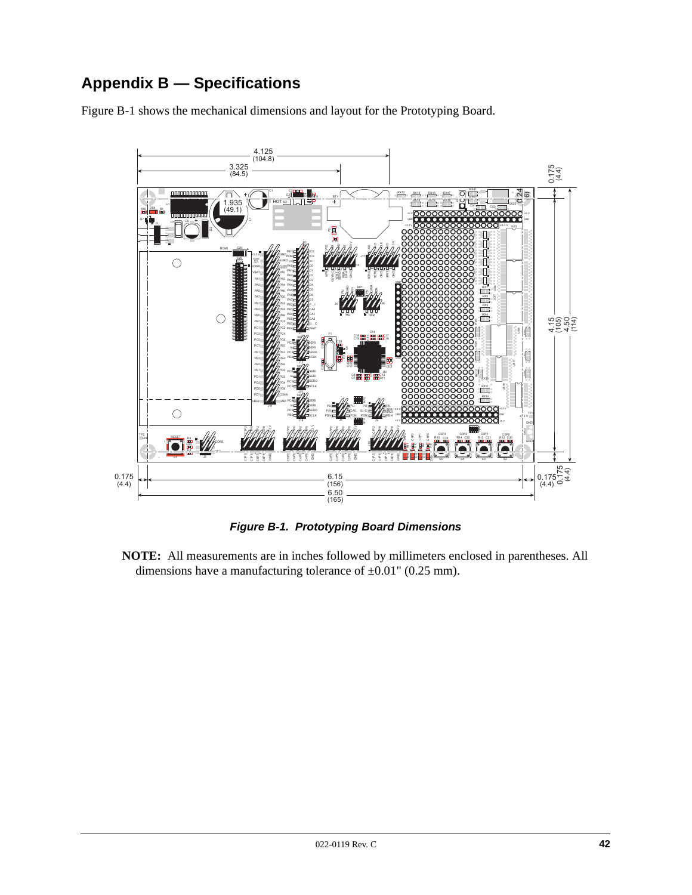# **Appendix B — Specifications**

[Figure B-1](#page-41-0) shows the mechanical dimensions and layout for the Prototyping Board.



*Figure B-1. Prototyping Board Dimensions*

<span id="page-41-0"></span>**NOTE:** All measurements are in inches followed by millimeters enclosed in parentheses. All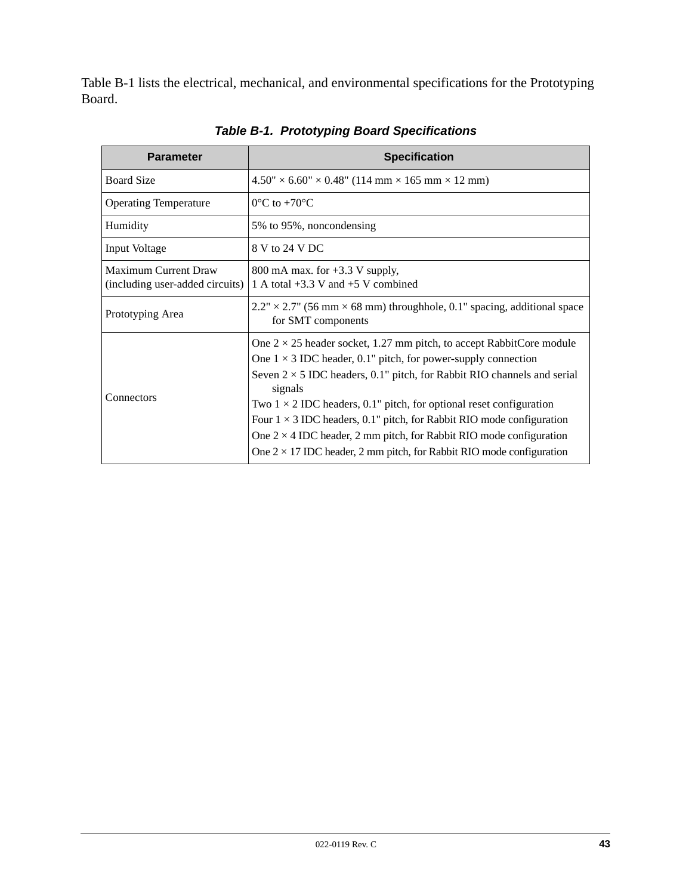[Table B-1](#page-42-0) lists the electrical, mechanical, and environmental specifications for the Prototyping Board.

<span id="page-42-0"></span>

| <b>Parameter</b>                                               | <b>Specification</b>                                                                                                                                                                                                                                                                                                                                                                                                                                                                                                                                                        |
|----------------------------------------------------------------|-----------------------------------------------------------------------------------------------------------------------------------------------------------------------------------------------------------------------------------------------------------------------------------------------------------------------------------------------------------------------------------------------------------------------------------------------------------------------------------------------------------------------------------------------------------------------------|
| <b>Board Size</b>                                              | $4.50'' \times 6.60'' \times 0.48''$ (114 mm $\times$ 165 mm $\times$ 12 mm)                                                                                                                                                                                                                                                                                                                                                                                                                                                                                                |
| <b>Operating Temperature</b>                                   | $0^{\circ}$ C to +70 $^{\circ}$ C                                                                                                                                                                                                                                                                                                                                                                                                                                                                                                                                           |
| Humidity                                                       | 5% to 95%, noncondensing                                                                                                                                                                                                                                                                                                                                                                                                                                                                                                                                                    |
| Input Voltage                                                  | 8 V to 24 V DC                                                                                                                                                                                                                                                                                                                                                                                                                                                                                                                                                              |
| <b>Maximum Current Draw</b><br>(including user-added circuits) | 800 mA max. for $+3.3$ V supply,<br>1 A total $+3.3$ V and $+5$ V combined                                                                                                                                                                                                                                                                                                                                                                                                                                                                                                  |
| Prototyping Area                                               | $2.2" \times 2.7"$ (56 mm $\times$ 68 mm) throughhole, 0.1" spacing, additional space<br>for SMT components                                                                                                                                                                                                                                                                                                                                                                                                                                                                 |
| Connectors                                                     | One $2 \times 25$ header socket, 1.27 mm pitch, to accept RabbitCore module<br>One $1 \times 3$ IDC header, 0.1" pitch, for power-supply connection<br>Seven $2 \times 5$ IDC headers, 0.1" pitch, for Rabbit RIO channels and serial<br>signals<br>Two $1 \times 2$ IDC headers, 0.1" pitch, for optional reset configuration<br>Four $1 \times 3$ IDC headers, 0.1" pitch, for Rabbit RIO mode configuration<br>One $2 \times 4$ IDC header, 2 mm pitch, for Rabbit RIO mode configuration<br>One $2 \times 17$ IDC header, 2 mm pitch, for Rabbit RIO mode configuration |

*Table B-1. Prototyping Board Specifications*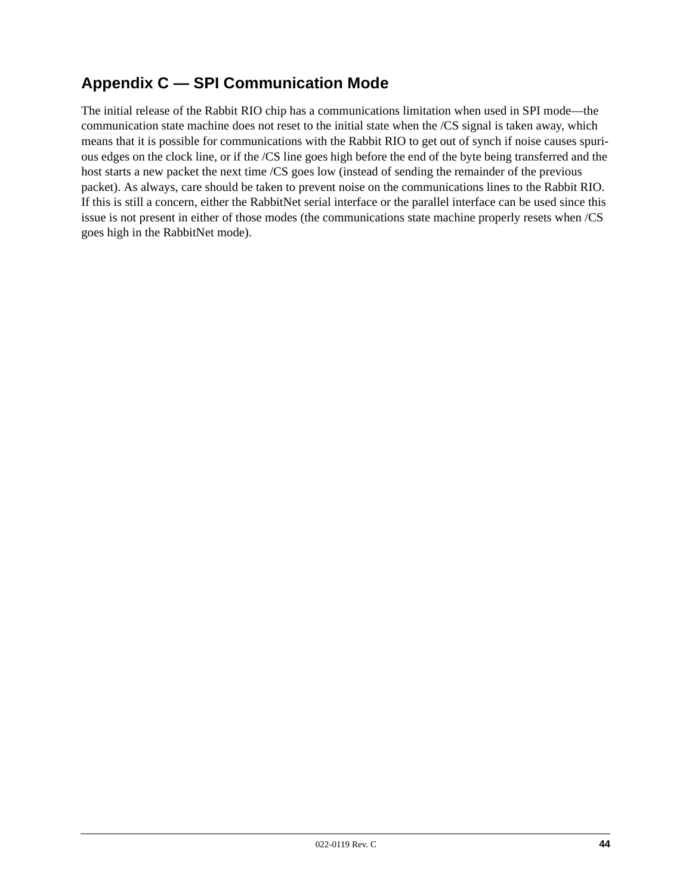# **Appendix C — SPI Communication Mode**

The initial release of the Rabbit RIO chip has a communications limitation when used in SPI mode—the communication state machine does not reset to the initial state when the /CS signal is taken away, which means that it is possible for communications with the Rabbit RIO to get out of synch if noise causes spurious edges on the clock line, or if the /CS line goes high before the end of the byte being transferred and the host starts a new packet the next time /CS goes low (instead of sending the remainder of the previous packet). As always, care should be taken to prevent noise on the communications lines to the Rabbit RIO. If this is still a concern, either the RabbitNet serial interface or the parallel interface can be used since this issue is not present in either of those modes (the communications state machine properly resets when /CS goes high in the RabbitNet mode).